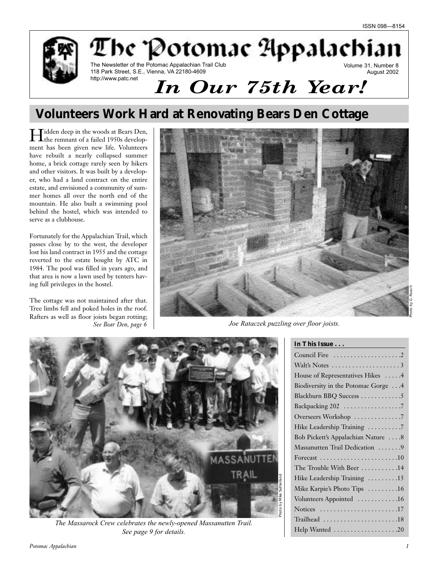

# **Volunteers Work Hard at Renovating Bears Den Cottage**

Hidden deep in the woods at Bears Den, the remnant of a failed 1950s development has been given new life. Volunteers have rebuilt a nearly collapsed summer home, a brick cottage rarely seen by hikers and other visitors. It was built by a developer, who had a land contract on the entire estate, and envisioned a community of summer homes all over the north end of the mountain. He also built a swimming pool behind the hostel, which was intended to serve as a clubhouse.

Fortunately for the Appalachian Trail, which passes close by to the west, the developer lost his land contract in 1955 and the cottage reverted to the estate bought by ATC in 1984. The pool was filled in years ago, and that area is now a lawn used by tenters having full privileges in the hostel.

The cottage was not maintained after that. Tree limbs fell and poked holes in the roof. Rafters as well as floor joists began rotting; *See Bear Den, page 6*



*Joe Rataczek puzzling over floor joists.*



*The Massarock Crew celebrates the newly-opened Massanutten Trail. See page 9 for details.*

| In This Issue                       |
|-------------------------------------|
|                                     |
|                                     |
| House of Representatives Hikes 4    |
| Biodiversity in the Potomac Gorge 4 |
| Blackburn BBQ Success 5             |
| Backpacking 202 7                   |
| Overseers Workshop 7                |
| Hike Leadership Training 7          |
| Bob Pickett's Appalachian Nature 8  |
| Massanutten Trail Dedication  9     |
|                                     |
| The Trouble With Beer 14            |
| Hike Leadership Training 15         |
| Mike Karpie's Photo Tips 16         |
| Volunteers Appointed 16             |
| Notices 17                          |
| Trailhead 18                        |
| Help Wanted 20                      |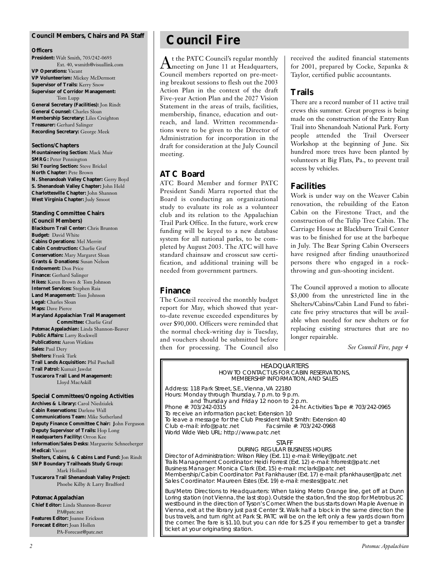#### **Council Members, Chairs and** *PA* **Staff**

#### **Officers**

**President:** Walt Smith, 703/242-0693 Ext. 40, wsmith@visuallink.com **VP Operations:** Vacant **VP Volunteerism:** Mickey McDermott **Supervisor of Trails:** Kerry Snow **Supervisor of Corridor Management:** Tom Lupp **General Secretary (Facilities):** Jon Rindt **General Counsel:** Charles Sloan **Membership Secretary:** Liles Creighton **Treasurer:** Gerhard Salinger **Recording Secretary:** George Meek

#### **Sections/Chapters**

**Mountaineering Section:** Mack Muir **SMRG: Peter Pennington Ski Touring Section:** Steve Brickel **North Chapter:** Pete Brown **N. Shenandoah Valley Chapter:** Gerry Boyd **S. Shenandoah Valley Chapter:** John Held **Charlottesville Chapter:** John Shannon **West Virginia Chapter:** Judy Smoot

### **Standing Committee Chairs**

**(Council Members) Blackburn Trail Center:** Chris Brunton **Budget:** David White **Cabins Operations:** Mel Merritt **Cabin Construction:** Charlie Graf **Conservation:** Mary Margaret Sloan **Grants & Donations:** Susan Nelson **Endowment:** Don Price **Finance:** Gerhard Salinger **Hikes:** Karen Brown & Tom Johnson **Internet Services:** Stephen Raia **Land Management:** Tom Johnson **Legal:** Charles Sloan **Maps:** Dave Pierce **Maryland Appalachian Trail Management Committee:** Charlie Graf *Potomac Appalachian:* Linda Shannon-Beaver **Public Affairs:** Larry Rockwell **Publications:** Aaron Watkins **Sales:** Paul Dery **Shelters:** Frank Turk **Trail Lands Acquisition:** Phil Paschall

**Trail Patrol:** Kumait Jawdat **Tuscarora Trail Land Management:** Lloyd MacAskill

**Special Committees/Ongoing Activities Archives & Library:** Carol Niedzialek **Cabin Reservations:** Darlene Wall **Communications Team:** Mike Sutherland **Deputy Finance Committee Chair: J**ohn Ferguson **Deputy Supervisor of Trails:** Hop Long **Headquarters Facility:** Orron Kee **Information/Sales Desks:** Marguerite Schneeberger **Medical:** Vacant **Shelters, Cabins, & Cabins Land Fund:** Jon Rindt **SNP Boundary Trailheads Study Group:** Mark Holland **Tuscarora Trail Shenandoah Valley Project:** Phoebe Kilby & Larry Bradford

#### *Potomac Appalachian*

**Chief Editor:** Linda Shannon-Beaver PA@patc.net **Features Editor:** Joanne Erickson **Forecast Editor:** Joan Hollen PA-Forecast@patc.net

# **Council Fire**

At the PATC Council's regular monthly meeting on June 11 at Headquarters, Council members reported on pre-meeting breakout sessions to flesh out the 2003 Action Plan in the context of the draft Five-year Action Plan and the 2027 Vision Statement in the areas of trails, facilities, membership, finance, education and outreach, and land. Written recommendations were to be given to the Director of Administration for incorporation in the draft for consideration at the July Council meeting.

### **ATC Board**

ATC Board Member and former PATC President Sandi Marra reported that the Board is conducting an organizational study to evaluate its role as a volunteer club and its relation to the Appalachian Trail Park Office. In the future, work crew funding will be keyed to a new database system for all national parks, to be completed by August 2003. The ATC will have standard chainsaw and crosscut saw certification, and additional training will be needed from government partners.

#### **Finance**

The Council received the monthly budget report for May, which showed that yearto-date revenue exceeded expenditures by over \$90,000. Officers were reminded that the normal check-writing day is Tuesday, and vouchers should be submitted before then for processing. The Council also received the audited financial statements for 2001, prepared by Cocke, Szpanka & Taylor, certified public accountants.

### **Trails**

There are a record number of 11 active trail crews this summer. Great progress is being made on the construction of the Entry Run Trail into Shenandoah National Park. Forty people attended the Trail Overseer Workshop at the beginning of June. Six hundred more trees have been planted by volunteers at Big Flats, Pa., to prevent trail access by vehicles.

### **Facilities**

Work is under way on the Weaver Cabin renovation, the rebuilding of the Eaton Cabin on the Firestone Tract, and the construction of the Tulip Tree Cabin. The Carriage House at Blackburn Trail Center was to be finished for use at the barbeque in July. The Bear Spring Cabin Overseers have resigned after finding unauthorized persons there who engaged in a rockthrowing and gun-shooting incident.

The Council approved a motion to allocate \$3,000 from the unrestricted line in the Shelters/Cabins/Cabin Land Fund to fabricate five privy structures that will be available when needed for new shelters or for replacing existing structures that are no longer repairable.

*See Council Fire, page 4*

HEADQUARTERS HOW TO CONTACT US FOR CABIN RESERVATIONS, MEMBERSHIP INFORMATION, AND SALES

Address: 118 Park Street, S.E., Vienna, VA 22180 Hours: Monday through Thursday, 7 p.m. to 9 p.m. and Thursday and Friday 12 noon to 2 p.m.<br>. 24-hr. 24-hr. Activities Tape #: 703/242-0965 To receive an information packet: Extension 10 To leave a message for the Club President Walt Smith: Extension 40<br>Club e-mail: info@patc.net Facsimile #: 703/242-0968 Club e-mail: info@patc.net World Wide Web URL: http://www.patc.net

#### STAFF

DURING REGULAR BUSINESS HOURS Director of Administration: Wilson Riley (Ext. 11) e-mail: Wriley@patc.net Trails Management Coordinator: Heidi Forrest (Ext. 12) e-mail: hforrest@patc.net Business Manager: Monica Clark (Ext. 15) e-mail: mclark@patc.net Membership/Cabin Coordinator: Pat Fankhauser (Ext. 17) e-mail: pfankhauser@patc.net Sales Coordinator: Maureen Estes (Ext. 19) e-mail: mestes@patc.net

Bus/Metro Directions to Headquarters: When taking Metro Orange line, get off at Dunn Loring station (not Vienna, the last stop). Outside the station, find the stop for Metrobus 2C westbound in the direction of Tyson's Corner. When the bus starts down Maple Avenue in Vienna, exit at the library just past Center St. Walk half a block in the same direction the bus travels, and turn right at Park St. PATC will be on the left only a few yards down from the corner. The fare is \$1.10, but you can ride for \$.25 if you remember to get a transfer ticket at your originating station.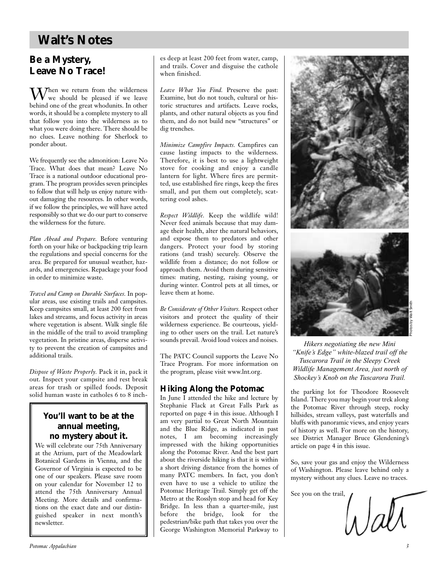# **Walt's Notes**

# **Be a Mystery, Leave No Trace!**

 $W_{\text{wa chordal}}$ <sup>1</sup> we should be pleased if we leave behind one of the great whodunits. In other words, it should be a complete mystery to all that follow you into the wilderness as to what you were doing there. There should be no clues. Leave nothing for Sherlock to ponder about.

We frequently see the admonition: Leave No Trace. What does that mean? Leave No Trace is a national outdoor educational program. The program provides seven principles to follow that will help us enjoy nature without damaging the resources. In other words, if we follow the principles, we will have acted responsibly so that we do our part to conserve the wilderness for the future.

*Plan Ahead and Prepare.* Before venturing forth on your hike or backpacking trip learn the regulations and special concerns for the area. Be prepared for unusual weather, hazards, and emergencies. Repackage your food in order to minimize waste.

*Travel and Camp on Durable Surfaces.* In popular areas, use existing trails and campsites. Keep campsites small, at least 200 feet from lakes and streams, and focus activity in areas where vegetation is absent. Walk single file in the middle of the trail to avoid trampling vegetation. In pristine areas, disperse activity to prevent the creation of campsites and additional trails.

*Dispose of Waste Properly.* Pack it in, pack it out. Inspect your campsite and rest break areas for trash or spilled foods. Deposit solid human waste in catholes 6 to 8 inch-

## **You'll want to be at the annual meeting, no mystery about it.**

We will celebrate our 75th Anniversary at the Atrium, part of the Meadowlark Botanical Gardens in Vienna, and the Governor of Virginia is expected to be one of our speakers. Please save room on your calendar for November 12 to attend the 75th Anniversary Annual Meeting. More details and confirmations on the exact date and our distinguished speaker in next month's newsletter.

es deep at least 200 feet from water, camp, and trails. Cover and disguise the cathole when finished.

*Leave What You Find.* Preserve the past: Examine, but do not touch, cultural or historic structures and artifacts. Leave rocks, plants, and other natural objects as you find them, and do not build new "structures" or dig trenches.

*Minimize Campfire Impacts.* Campfires can cause lasting impacts to the wilderness. Therefore, it is best to use a lightweight stove for cooking and enjoy a candle lantern for light. Where fires are permitted, use established fire rings, keep the fires small, and put them out completely, scattering cool ashes.

*Respect Wildlife.* Keep the wildlife wild! Never feed animals because that may damage their health, alter the natural behaviors, and expose them to predators and other dangers. Protect your food by storing rations (and trash) securely. Observe the wildlife from a distance; do not follow or approach them. Avoid them during sensitive times: mating, nesting, raising young, or during winter. Control pets at all times, or leave them at home.

*Be Considerate of Other Visitors.* Respect other visitors and protect the quality of their wilderness experience. Be courteous, yielding to other users on the trail. Let nature's sounds prevail. Avoid loud voices and noises.

The PATC Council supports the Leave No Trace Program. For more information on the program, please visit www.lnt.org.

## **Hiking Along the Potomac**

In June I attended the hike and lecture by Stephanie Flack at Great Falls Park as reported on page 4 in this issue. Although I am very partial to Great North Mountain and the Blue Ridge, as indicated in past notes, I am becoming increasingly impressed with the hiking opportunities along the Potomac River. And the best part about the riverside hiking is that it is within a short driving distance from the homes of many PATC members. In fact, you don't even have to use a vehicle to utilize the Potomac Heritage Trail. Simply get off the Metro at the Rosslyn stop and head for Key Bridge. In less than a quarter-mile, just before the bridge, look for the pedestrian/bike path that takes you over the George Washington Memorial Parkway to



*Hikers negotiating the new Mini "Knife's Edge" white-blazed trail off the Tuscarora Trail in the Sleepy Creek Wildlife Management Area, just north of Shockey's Knob on the Tuscarora Trail.*

the parking lot for Theodore Roosevelt Island. There you may begin your trek along the Potomac River through steep, rocky hillsides, stream valleys, past waterfalls and bluffs with panoramic views, and enjoy years of history as well. For more on the history, see District Manager Bruce Glendening's article on page 4 in this issue.

So, save your gas and enjoy the Wilderness of Washington. Please leave behind only a mystery without any clues. Leave no traces.

See you on the trail,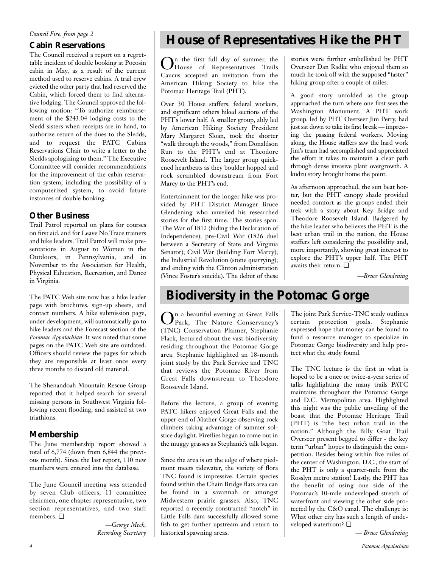#### *Council Fire, from page 2*

### **Cabin Reservations**

The Council received a report on a regrettable incident of double booking at Pocosin cabin in May, as a result of the current method used to reserve cabins. A trail crew evicted the other party that had reserved the Cabin, which forced them to find alternative lodging. The Council approved the following motion: "To authorize reimbursement of the \$243.04 lodging costs to the Sledd sisters when receipts are in hand, to authorize return of the dues to the Sledds, and to request the PATC Cabins Reservations Chair to write a letter to the Sledds apologizing to them." The Executive Committee will consider recommendations for the improvement of the cabin reservation system, including the possibility of a computerized system, to avoid future instances of double booking.

## **Other Business**

Trail Patrol reported on plans for courses on first aid, and for Leave No Trace trainers and hike leaders. Trail Patrol will make presentations in August to Women in the Outdoors, in Pennsylvania, and in November to the Association for Health, Physical Education, Recreation, and Dance in Virginia.

The PATC Web site now has a hike leader page with brochures, sign-up sheets, and contact numbers. A hike submission page, under development, will automatically go to hike leaders and the Forecast section of the *Potomac Appalachian*. It was noted that some pages on the PATC Web site are outdated. Officers should review the pages for which they are responsible at least once every three months to discard old material.

The Shenandoah Mountain Rescue Group reported that it helped search for several missing persons in Southwest Virginia following recent flooding, and assisted at two triathlons.

### **Membership**

The June membership report showed a total of 6,774 (down from 6,844 the previous month). Since the last report, 110 new members were entered into the database.

The June Council meeting was attended by seven Club officers, 11 committee chairmen, one chapter representative, two section representatives, and two staff members. ❏

> *—George Meek, Recording Secretary*

# **House of Representatives Hike the PHT**

On the first full day of summer, the House of Representatives Trails Caucus accepted an invitation from the American Hiking Society to hike the Potomac Heritage Trail (PHT).

Over 30 House staffers, federal workers, and significant others hiked sections of the PHT's lower half. A smaller group, ably led by American Hiking Society President Mary Margaret Sloan, took the shorter "walk through the woods," from Donaldson Run to the PHT's end at Theodore Roosevelt Island. The larger group quickened heartbeats as they boulder hopped and rock scrambled downstream from Fort Marcy to the PHT's end.

Entertainment for the longer hike was provided by PHT District Manager Bruce Glendening who unveiled his researched stories for the first time. The stories span: The War of 1812 (hiding the Declaration of Independence); pre-Civil War (1826 duel between a Secretary of State and Virginia Senator); Civil War (building Fort Marcy); the Industrial Revolution (stone quarrying); and ending with the Clinton administration (Vince Foster's suicide). The debut of these stories were further embellished by PHT Overseer Dan Radke who enjoyed them so much he took off with the supposed "faster" hiking group after a couple of miles.

A good story unfolded as the group approached the turn where one first sees the Washington Monument. A PHT work group, led by PHT Overseer Jim Perry, had just sat down to take its first break — impressing the passing federal workers. Moving along, the House staffers saw the hard work Jim's team had accomplished and appreciated the effort it takes to maintain a clear path through dense invasive plant overgrowth. A kudzu story brought home the point.

As afternoon approached, the sun beat hotter, but the PHT canopy shade provided needed comfort as the groups ended their trek with a story about Key Bridge and Theodore Roosevelt Island. Badgered by the hike leader who believes the PHT is the best urban trail in the nation, the House staffers left considering the possibility and, more importantly, showing great interest to explore the PHT's upper half. The PHT awaits their return. ❏

*—Bruce Glendening*

# **Biodiversity in the Potomac Gorge**

On a beautiful evening at Great Falls Park, The Nature Conservancy's (TNC) Conservation Planner, Stephanie Flack, lectured about the vast biodiversity residing throughout the Potomac Gorge area. Stephanie highlighted an 18-month joint study by the Park Service and TNC that reviews the Potomac River from Great Falls downstream to Theodore Roosevelt Island.

Before the lecture, a group of evening PATC hikers enjoyed Great Falls and the upper end of Mather Gorge observing rock climbers taking advantage of summer solstice daylight. Fireflies began to come out in the muggy grasses as Stephanie's talk began.

Since the area is on the edge of where piedmont meets tidewater, the variety of flora TNC found is impressive. Certain species found within the Chain Bridge flats area can be found in a savannah or amongst Midwestern prairie grasses. Also, TNC reported a recently constructed "notch" in Little Falls dam successfully allowed some fish to get further upstream and return to historical spawning areas.

The joint Park Service-TNC study outlines certain protection goals. Stephanie expressed hope that money can be found to fund a resource manager to specialize in Potomac Gorge biodiversity and help protect what the study found.

The TNC lecture is the first in what is hoped to be a once or twice-a-year series of talks highlighting the many trails PATC maintains throughout the Potomac Gorge and D.C. Metropolitan area. Highlighted this night was the public unveiling of the boast that the Potomac Heritage Trail (PHT) is "the best urban trail in the nation." Although the Billy Goat Trail Overseer present begged to differ - the key term "urban" hopes to distinguish the competition. Besides being within five miles of the center of Washington, D.C., the start of the PHT is only a quarter-mile from the Rosslyn metro station! Lastly, the PHT has the benefit of using one side of the Potomac's 10-mile undeveloped stretch of waterfront and viewing the other side protected by the C&O canal. The challenge is: What other city has such a length of undeveloped waterfront? ❏

*— Bruce Glendening*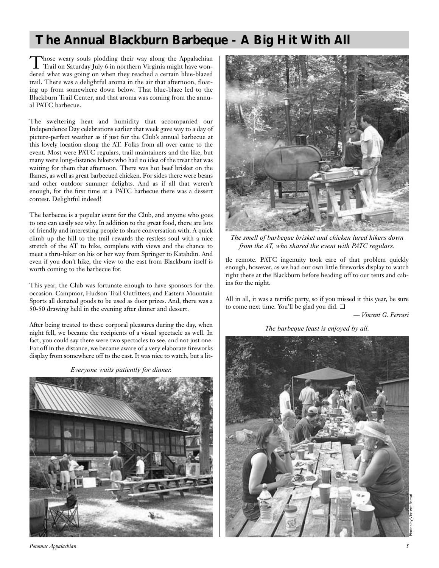# **The Annual Blackburn Barbeque - A Big Hit With All**

Those weary souls plodding their way along the Appalachian Trail on Saturday July 6 in northern Virginia might have wondered what was going on when they reached a certain blue-blazed trail. There was a delightful aroma in the air that afternoon, floating up from somewhere down below. That blue-blaze led to the Blackburn Trail Center, and that aroma was coming from the annual PATC barbecue.

The sweltering heat and humidity that accompanied our Independence Day celebrations earlier that week gave way to a day of picture-perfect weather as if just for the Club's annual barbecue at this lovely location along the AT. Folks from all over came to the event. Most were PATC regulars, trail maintainers and the like, but many were long-distance hikers who had no idea of the treat that was waiting for them that afternoon. There was hot beef brisket on the flames, as well as great barbecued chicken. For sides there were beans and other outdoor summer delights. And as if all that weren't enough, for the first time at a PATC barbecue there was a dessert contest. Delightful indeed!

The barbecue is a popular event for the Club, and anyone who goes to one can easily see why. In addition to the great food, there are lots of friendly and interesting people to share conversation with. A quick climb up the hill to the trail rewards the restless soul with a nice stretch of the AT to hike, complete with views and the chance to meet a thru-hiker on his or her way from Springer to Katahdin. And even if you don't hike, the view to the east from Blackburn itself is worth coming to the barbecue for.

This year, the Club was fortunate enough to have sponsors for the occasion. Campmor, Hudson Trail Outfitters, and Eastern Mountain Sports all donated goods to be used as door prizes. And, there was a 50-50 drawing held in the evening after dinner and dessert.

After being treated to these corporal pleasures during the day, when night fell, we became the recipients of a visual spectacle as well. In fact, you could say there were two spectacles to see, and not just one. Far off in the distance, we became aware of a very elaborate fireworks display from somewhere off to the east. It was nice to watch, but a lit-

*Everyone waits patiently for dinner.*



*Potomac Appalachian 5*



*The smell of barbeque brisket and chicken lured hikers down from the AT, who shared the event with PATC regulars.*

tle remote. PATC ingenuity took care of that problem quickly enough, however, as we had our own little fireworks display to watch right there at the Blackburn before heading off to our tents and cabins for the night.

All in all, it was a terrific party, so if you missed it this year, be sure to come next time. You'll be glad you did. ❏

*— Vincent G. Ferrari*

*The barbeque feast is enjoyed by all.*

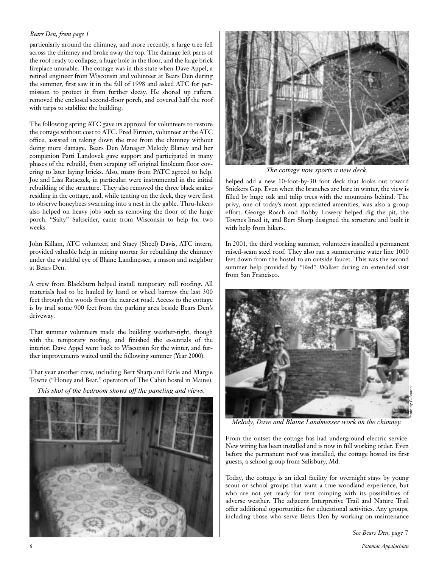#### *Bears Den, from page 1*

particularly around the chimney, and more recently, a large tree fell across the chimney and broke away the top. The damage left parts of the roof ready to collapse, a huge hole in the floor, and the large brick fireplace unusable. The cottage was in this state when Dave Appel, a retired engineer from Wisconsin and volunteer at Bears Den during the summer, first saw it in the fall of 1998 and asked ATC for permission to protect it from further decay. He shored up rafters, removed the enclosed second-floor porch, and covered half the roof with tarps to stabilize the building.

The following spring ATC gave its approval for volunteers to restore the cottage without cost to ATC. Fred Firman, volunteer at the ATC office, assisted in taking down the tree from the chimney without doing more damage. Bears Den Manager Melody Blaney and her companion Patti Landovek gave support and participated in many phases of the rebuild, from scraping off original linoleum floor covering to later laying bricks. Also, many from PATC agreed to help. Joe and Lisa Rataczek, in particular, were instrumental in the initial rebuilding of the structure. They also removed the three black snakes residing in the cottage, and, while tenting on the deck, they were first to observe honeybees swarming into a nest in the gable. Thru-hikers also helped on heavy jobs such as removing the floor of the large porch. "Salty" Saltseider, came from Wisconsin to help for two weeks.

John Killam, ATC volunteer, and Stacy (Sheel) Davis, ATC intern, provided valuable help in mixing mortar for rebuilding the chimney under the watchful eye of Blaine Landmesser, a mason and neighbor at Bears Den.

A crew from Blackburn helped install temporary roll roofing. All materials had to be hauled by hand or wheel barrow the last 300 feet through the woods from the nearest road. Access to the cottage is by trail some 900 feet from the parking area beside Bears Den's driveway.

That summer volunteers made the building weather-tight, though with the temporary roofing, and finished the essentials of the interior. Dave Appel went back to Wisconsin for the winter, and further improvements waited until the following summer (Year 2000).

That year another crew, including Bert Sharp and Earle and Margie Towne ("Honey and Bear," operators of The Cabin hostel in Maine),

*This shot of the bedroom shows off the paneling and views.*





*The cottage now sports a new deck.*

helped add a new 10-foot-by-30 foot deck that looks out toward Snickers Gap. Even when the branches are bare in winter, the view is filled by huge oak and tulip trees with the mountains behind. The privy, one of today's most appreciated amenities, was also a group effort. George Roach and Bobby Lowery helped dig the pit, the Townes lined it, and Bert Sharp designed the structure and built it with help from hikers.

In 2001, the third working summer, volunteers installed a permanent raised-seam steel roof. They also ran a summertime water line 1000 feet down from the hostel to an outside faucet. This was the second summer help provided by "Red" Walker during an extended visit from San Francisco.



*Melody, Dave and Blaine Landmesser work on the chimney.*

From the outset the cottage has had underground electric service. New wiring has been installed and is now in full working order. Even before the permanent roof was installed, the cottage hosted its first guests, a school group from Salisbury, Md.

Today, the cottage is an ideal facility for overnight stays by young scout or school groups that want a true woodland experience, but who are not yet ready for tent camping with its possibilities of adverse weather. The adjacent Interpretive Trail and Nature Trail offer additional opportunities for educational activities. Any groups, including those who serve Bears Den by working on maintenance

*See Bears Den, page 7*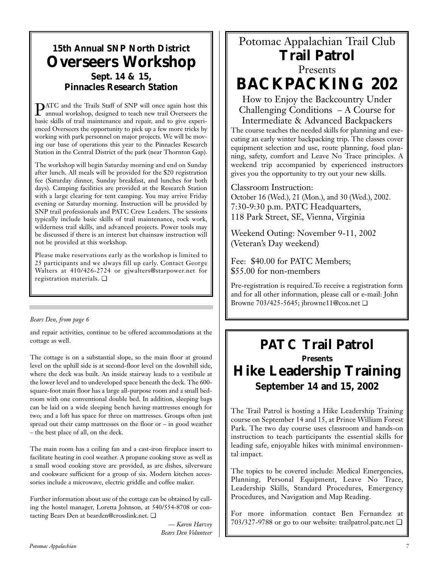# **15th Annual SNP North District Overseers Workshop Sept. 14 & 15, Pinnacles Research Station**

PATC and the Trails Staff of SNP will once again host this annual workshop, designed to teach new trail Overseers the basic skills of trail maintenance and repair, and to give experienced Overseers the opportunity to pick up a few more tricks by working with park personnel on major projects. We will be moving our base of operations this year to the Pinnacles Research Station in the Central District of the park (near Thornton Gap).

The workshop will begin Saturday morning and end on Sunday after lunch. All meals will be provided for the \$20 registration fee (Saturday dinner, Sunday breakfast, and lunches for both days). Camping facilities are provided at the Research Station with a large clearing for tent camping. You may arrive Friday evening or Saturday morning. Instruction will be provided by SNP trail professionals and PATC Crew Leaders. The sessions typically include basic skills of trail maintenance, rock work, wilderness trail skills, and advanced projects. Power tools may be discussed if there is an interest but chainsaw instruction will not be provided at this workshop.

Please make reservations early as the workshop is limited to 25 participants and we always fill up early. Contact George Walters at 410/426-2724 or gjwalters@starpower.net for registration materials. ❏

### *Bears Den, from page 6*

and repair activities, continue to be offered accommodations at the cottage as well.

The cottage is on a substantial slope, so the main floor at ground level on the uphill side is at second-floor level on the downhill side, where the deck was built. An inside stairway leads to a vestibule at the lower level and to undeveloped space beneath the deck. The 600 square-foot main floor has a large all-purpose room and a small bedroom with one conventional double bed. In addition, sleeping bags can be laid on a wide sleeping bench having mattresses enough for two; and a loft has space for three on mattresses. Groups often just spread out their camp mattresses on the floor or – in good weather – the best place of all, on the deck.

The main room has a ceiling fan and a cast-iron fireplace insert to facilitate heating in cool weather. A propane cooking stove as well as a small wood cooking stove are provided, as are dishes, silverware and cookware sufficient for a group of six. Modern kitchen accessories include a microwave, electric griddle and coffee maker.

Further information about use of the cottage can be obtained by calling the hostel manager, Loretta Johnson, at 540/554-8708 or contacting Bears Den at bearden@crosslink.net. ❏

> *— Karen Harvey Bears Den Volunteer*

# Potomac Appalachian Trail Club **Trail Patrol** Presents

**BACKPACKING 202**

How to Enjoy the Backcountry Under Challenging Conditions – A Course for

Intermediate & Advanced Backpackers The course teaches the needed skills for planning and executing an early winter backpacking trip. The classes cover equipment selection and use, route planning, food planning, safety, comfort and Leave No Trace principles. A weekend trip accompanied by experienced instructors gives you the opportunity to try out your new skills.

Classroom Instruction: October 16 (Wed.), 21 (Mon.), and 30 (Wed.), 2002. 7:30-9:30 p.m. PATC Headquarters, 118 Park Street, SE, Vienna, Virginia

Weekend Outing: November 9-11, 2002 (Veteran's Day weekend)

Fee: \$40.00 for PATC Members; \$55.00 for non-members

Pre-registration is required.To receive a registration form and for all other information, please call or e-mail: John Browne 703/425-5645; jbrowne11@cox.net ❏

# **PATC Trail Patrol Presents Hike Leadership Training September 14 and 15, 2002**

The Trail Patrol is hosting a Hike Leadership Training course on September 14 and 15, at Prince William Forest Park. The two day course uses classroom and hands-on instruction to teach participants the essential skills for leading safe, enjoyable hikes with minimal environmental impact.

The topics to be covered include: Medical Emergencies, Planning, Personal Equipment, Leave No Trace, Leadership Skills, Standard Procedures, Emergency Procedures, and Navigation and Map Reading.

For more information contact Ben Fernandez at 703/327-9788 or go to our website: trailpatrol.patc.net ❏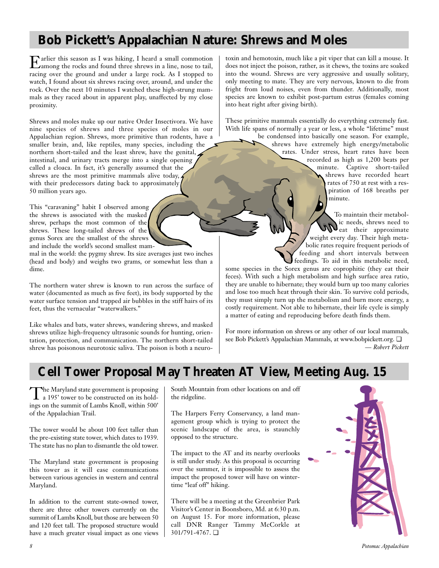# **Bob Pickett's Appalachian Nature: Shrews and Moles**

Earlier this season as I was hiking, I heard a small commotion among the rocks and found three shrews in a line, nose to tail, racing over the ground and under a large rock. As I stopped to watch, I found about six shrews racing over, around, and under the rock. Over the next 10 minutes I watched these high-strung mammals as they raced about in apparent play, unaffected by my close proximity.

Shrews and moles make up our native Order Insectivora. We have nine species of shrews and three species of moles in our Appalachian region. Shrews, more primitive than rodents, have a smaller brain, and, like reptiles, many species, including the northern short-tailed and the least shrew, have the genital, intestinal, and urinary tracts merge into a single opening called a cloaca. In fact, it's generally assumed that the shrews are the most primitive mammals alive today,  $\lambda$ with their predecessors dating back to approximately 50 million years ago.

This "caravaning" habit I observed among the shrews is associated with the masked shrew, perhaps the most common of the shrews. These long-tailed shrews of the genus Sorex are the smallest of the shrews and include the world's second smallest mam-

mal in the world: the pygmy shrew. Its size averages just two inches (head and body) and weighs two grams, or somewhat less than a dime.

The northern water shrew is known to run across the surface of water (documented as much as five feet), its body supported by the water surface tension and trapped air bubbles in the stiff hairs of its feet, thus the vernacular "waterwalkers."

Like whales and bats, water shrews, wandering shrews, and masked shrews utilize high-frequency ultrasonic sounds for hunting, orientation, protection, and communication. The northern short-tailed shrew has poisonous neurotoxic saliva. The poison is both a neurotoxin and hemotoxin, much like a pit viper that can kill a mouse. It does not inject the poison, rather, as it chews, the toxins are soaked into the wound. Shrews are very aggressive and usually solitary, only meeting to mate. They are very nervous, known to die from fright from loud noises, even from thunder. Additionally, most species are known to exhibit post-partum estrus (females coming into heat right after giving birth).

These primitive mammals essentially do everything extremely fast. With life spans of normally a year or less, a whole "lifetime" must

> be condensed into basically one season. For example, shrews have extremely high energy/metabolic rates. Under stress, heart rates have been recorded as high as 1,200 beats per minute. Captive short-tailed shrews have recorded heart rates of 750 at rest with a respiration of 168 breaths per minute.

> > To maintain their metabolic needs, shrews need to Weat their approximate weight every day. Their high metabolic rates require frequent periods of feeding and short intervals between feedings. To aid in this metabolic need,

some species in the Sorex genus are coprophitic (they eat their feces). With such a high metabolism and high surface area ratio, they are unable to hibernate; they would burn up too many calories and lose too much heat through their skin. To survive cold periods, they must simply turn up the metabolism and burn more energy, a costly requirement. Not able to hibernate, their life cycle is simply a matter of eating and reproducing before death finds them.

For more information on shrews or any other of our local mammals, see Bob Pickett's Appalachian Mammals, at www.bobpickett.org. ❏ *— Robert Pickett*

# **Cell Tower Proposal May Threaten AT View, Meeting Aug. 15**

The Maryland state government is proposing<br>
a 195' tower to be constructed on its holdings on the summit of Lambs Knoll, within 500' of the Appalachian Trail.

The tower would be about 100 feet taller than the pre-existing state tower, which dates to 1939. The state has no plan to dismantle the old tower.

The Maryland state government is proposing this tower as it will ease communications between various agencies in western and central Maryland.

In addition to the current state-owned tower, there are three other towers currently on the summit of Lambs Knoll, but those are between 50 and 120 feet tall. The proposed structure would have a much greater visual impact as one views South Mountain from other locations on and off the ridgeline.

The Harpers Ferry Conservancy, a land management group which is trying to protect the scenic landscape of the area, is staunchly opposed to the structure.

The impact to the AT and its nearby overlooks is still under study. As this proposal is occurring over the summer, it is impossible to assess the impact the proposed tower will have on wintertime "leaf off" hiking.

There will be a meeting at the Greenbrier Park Visitor's Center in Boonsboro, Md. at 6:30 p.m. on August 15. For more information, please call DNR Ranger Tammy McCorkle at 301/791-4767. ❏

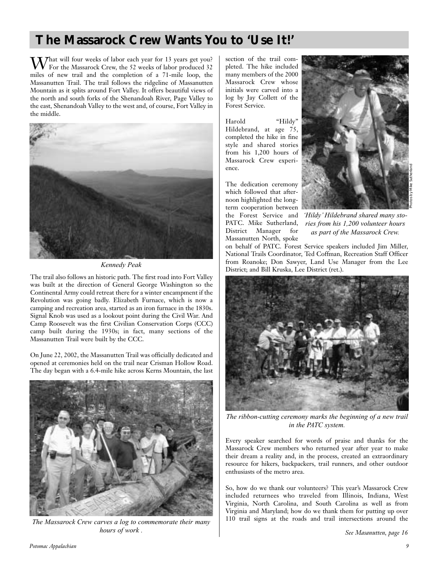# **The Massarock Crew Wants You to 'Use It!'**

 $M_{\odot}$  That will four weeks of labor each year for 13 years get you? For the Massarock Crew, the 52 weeks of labor produced 32 miles of new trail and the completion of a 71-mile loop, the Massanutten Trail. The trail follows the ridgeline of Massanutten Mountain as it splits around Fort Valley. It offers beautiful views of the north and south forks of the Shenandoah River, Page Valley to the east, Shenandoah Valley to the west and, of course, Fort Valley in the middle.



*Kennedy Peak*

The trail also follows an historic path. The first road into Fort Valley was built at the direction of General George Washington so the Continental Army could retreat there for a winter encampment if the Revolution was going badly. Elizabeth Furnace, which is now a camping and recreation area, started as an iron furnace in the 1830s. Signal Knob was used as a lookout point during the Civil War. And Camp Roosevelt was the first Civilian Conservation Corps (CCC) camp built during the 1930s; in fact, many sections of the Massanutten Trail were built by the CCC.

On June 22, 2002, the Massanutten Trail was officially dedicated and opened at ceremonies held on the trail near Crisman Hollow Road. The day began with a 6.4-mile hike across Kerns Mountain, the last



*The Massarock Crew carves a log to commemorate their many hours of work .*

section of the trail completed. The hike included many members of the 2000 Massarock Crew whose initials were carved into a log by Jay Collett of the Forest Service.

Harold "Hildy" Hildebrand, at age 75, completed the hike in fine style and shared stories from his 1,200 hours of Massarock Crew experience.

The dedication ceremony which followed that afternoon highlighted the longterm cooperation between the Forest Service and PATC. Mike Sutherland, District Manager for Massanutten North, spoke



Photos by Mike Sutherland

*'Hildy' Hildebrand shared many stories from his 1,200 volunteer hours as part of the Massarock Crew.*

on behalf of PATC. Forest Service speakers included Jim Miller, National Trails Coordinator, Ted Coffman, Recreation Staff Officer from Roanoke; Don Sawyer, Land Use Manager from the Lee District; and Bill Kruska, Lee District (ret.).



*The ribbon-cutting ceremony marks the beginning of a new trail in the PATC system.*

Every speaker searched for words of praise and thanks for the Massarock Crew members who returned year after year to make their dream a reality and, in the process, created an extraordinary resource for hikers, backpackers, trail runners, and other outdoor enthusiasts of the metro area.

So, how do we thank our volunteers? This year's Massarock Crew included returnees who traveled from Illinois, Indiana, West Virginia, North Carolina, and South Carolina as well as from Virginia and Maryland; how do we thank them for putting up over 110 trail signs at the roads and trail intersections around the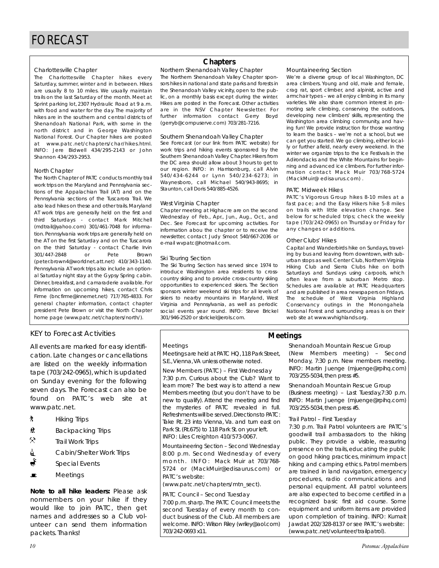#### Charlottesville Chapter

The Charlottesville Chapter hikes every Saturday, summer, winter and in between. Hikes are usually 8 to 10 miles. We usually maintain trails on the last Saturday of the month. Meet at Sprint parking lot, 2307 Hydraulic Road at 9 a.m. with food and water for the day. The majority of hikes are in the southern and central districts of Shenandoah National Park, with some in the north district and in George Washington National Forest. Our Chapter hikes are posted at www.patc.net/chapters/char/hikes.html. INFO: Jere Bidwell 434/295-2143 or John Shannon 434/293-2953.

#### North Chapter

The North Chapter of PATC conducts monthly trail work trips on the Maryland and Pennsylvania sections of the Appalachian Trail (AT) and on the Pennsylvania sections of the Tuscarora Trail. We also lead hikes on these and other trails. Maryland AT work trips are generally held on the first and third Saturdays - contact Mark Mitchell (mdtrail@yahoo.com) 301/461-7048 for information. Pennsylvania work trips are generally held on the AT on the first Saturday and on the Tuscarora on the third Saturday - contact Charlie Irvin 301/447-2848 or Pete Brown (peter.brown4@worldnet.att.net) 410/343-1140. Pennsylvania AT work trips also include an optional Saturday night stay at the Gypsy Spring cabin. Dinner, breakfast, and camaraderie available. For information on upcoming hikes, contact Chris Firme (bncfirme@innernet.net) 717/765-4833. For general chapter information, contact chapter president Pete Brown or visit the North Chapter home page (www.patc.net/chapters/north/).

### KEY to Forecast Activities

All events are marked for easy identification. Late changes or cancellations are listed on the weekly information tape (703/242-0965), which is updated on Sunday evening for the following seven days. The Forecast can also be found on PATC's web site at www.patc.net.

- **A** Hiking Trips
- <u> $#$ </u> Backpacking Trips
- $\mathbf{\hat{x}}$ Trail Work Trips
- **i** Cabin/Shelter Work Trips
- Special Events
- $\blacksquare$  Meetings

*Note to all hike leaders:* Please ask nonmembers on your hike if they would like to join PATC, then get names and addresses so a Club volunteer can send them information packets. Thanks!

### **Chapters**

Northern Shenandoah Valley Chapter The Northern Shenandoah Valley Chapter sponsors hikes in national and state parks and forests in the Shenandoah Valley vicinity, open to the public, on a monthly basis except during the winter. Hikes are posted in the Forecast. Other activities are in the NSV Chapter Newsletter. For further information contact Gerry Boyd (gerryb@compuserve.com) 703/281-7216.

#### Southern Shenandoah Valley Chapter

See Forecast (or our link from PATC website) for work trips and hiking events sponsored by the Southern Shenandoah Valley Chapter. Hikers from the DC area should allow about 3 hours to get to our region. INFO: in Harrisonburg, call Alvin 540/434-6244 or Lynn 540/234-6273; in Waynesboro, call Michael 540/943-8695; in Staunton, call Doris 540/885-4526.

#### West Virginia Chapter

Chapter meeting at Highacre are on the second Wednesday of Feb., Apr., Jun., Aug., Oct., and Dec. See Forecast for upcoming activities. For information abou the chapter or to receive the newsletter, contact Judy Smoot 540/667-2036 or e-mail wvpatc@hotmail.com.

#### Ski Touring Section

The Ski Touring Section has served since 1974 to introduce Washington area residents to crosscountry skiing and to provide cross-country skiing opportunities to experienced skiers. The Section sponsors winter weekend ski trips for all levels of skiers to nearby mountains in Maryland, West Virginia and Pennsylvania, as well as periodic social events year round. INFO: Steve Brickel 301/946-2520 or sbrickel@erols.com.

#### Mountaineering Section

We're a diverse group of local Washington, DC area climbers. Young and old, male and female, crag rat, sport climber, and alpinist, active and armchair types – we all enjoy climbing in its many varieties. We also share common interest in promoting safe climbing, conserving the outdoors, developing new climbers' skills, representing the Washington area climbing community, and having fun! We provide instruction for those wanting to learn the basics – we're not a school, but we can get you started. We go climbing, either locally or further afield, nearly every weekend. In the winter we organize trips to the Ice Festivals in the Adirondacks and the White Mountains for beginning and advanced ice climbers. For further information contact Mack Muir 703/768-5724 (MackMuir@ edisaurus.com) .

#### PATC Midweek Hikes

PATC's Vigorous Group hikes 8-10 miles at a fast pace; and the Easy Hikers hike 5-8 miles on trails with little elevation change. See below for scheduled trips; check the weekly tape (703/242-0965) on Thursday or Friday for any changes or additions.

#### Other Clubs' Hikes

**Meetings**

Capital and Wanderbirds hike on Sundays, traveling by bus and leaving from downtown, with suburban stops as well. Center Club, Northern Virginia Hiking Club and Sierra Clubs hike on both Saturdays and Sundays using carpools, which often leave from a suburban Metro stop. Schedules are available at PATC Headquarters and are published in area newspapers on Fridays. The schedule of West Virginia Highland Conservancy outings in the Monongahela National Forest and surrounding areas is on their web site at www.wvhighlands.org.

### Meetings

Meetings are held at PATC HQ,118 Park Street, S.E.,Vienna,VA unless otherwise noted.

New Members (PATC) – First Wednesday 7:30 p.m. Curious about the Club? Want to learn more? The best way is to attend a new Members meeting (but you don't have to be new to qualify). Attend the meeting and find the mysteries of PATC revealed in full. Refreshments will be served.Directions to PATC: Take Rt. 23 into Vienna, Va. and turn east on Park St.(Rt.675) to 118 Park St.on your left. INFO: Liles Creighton 410/573-0067.

Mountaineering Section – Second Wednesday 8:00 p.m. Second Wednesday of every m on th. INFO: Mack Muir at 703/768-5724 or (MackMuir@edisaurus.com) or PATC's website:

(www.patc.net/chapters/mtn\_sect).

#### PATC Council – Second Tuesday

7:00 p.m.sharp.The PATC Council meets the second Tuesday of every month to conduct business of the Club. All members are welcome. INFO: Wilson Riley (wriley@aol.com) 703/242-0693 x11.

Shenandoah Mountain Rescue Group (New Members meeting) – Second Monday, 7:30 p.m. New members meeting. INFO: Martin Juenge (mjuenge@rpihq.com) 703/255-5034, then press #5.

Shenandoah Mountain Rescue Group (Business meeting) – Last Tuesday,7:30 p.m. INFO: Martin Juenge (mjuenge@rpihq.com) 703/255-5034, then press #5.

#### Trail Patrol – First Tuesday

7:30 p.m. Trail Patrol volunteers are PATC's goodwill trail ambassadors to the hiking public. They provide a visible, reassuring presence on the trails, educating the public on good hiking practices, minimum impact hiking and camping ethics. Patrol members are trained in land navigation, emergency procedures, radio communications and personal equipment. All patrol volunteers are also expected to become certified in a recognized basic first aid course. Some equipment and uniform items are provided upon completion of training. INFO: Kumait Jawdat 202/328-8137 or see PATC's website: (www.patc.net/volunteer/trailpatrol).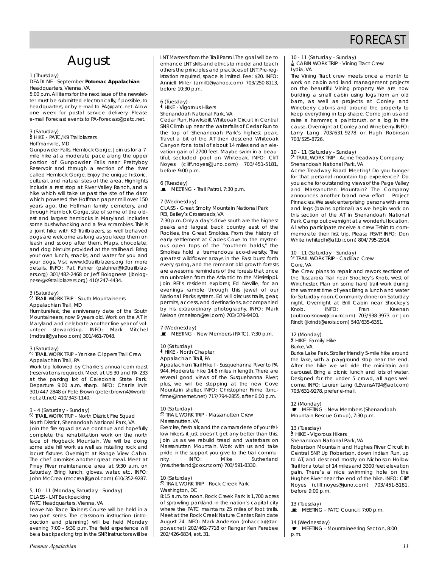# FORECAST

# August

#### 1 (Thursday)

#### DEADLINE - September *Potomac Appalachian* Headquarters, Vienna, VA

5:00 p.m.All items for the next issue of the newsletter must be submitted electronically, if possible, to headquarters, or by e-mail to PA@patc.net. Allow one week for postal service delivery. Please e-mail Forecast events to PA-Forecast@patc.net.

3 (Saturday)

` HIKE - PATC/K9 Trailblazers Hoffmanville, MD

Gunpowder Falls, Hemlock Gorge. Join us for a 7 mile hike at a moderate pace along the upper portion of Gunpowder Falls near Prettyboy Reservoir and through a section of the river called Hemlock Gorge. Enjoy the unique historic, cultural, and natural sites of the area. Highlights include a rest stop at River Valley Ranch, and a hike which will take us past the site of the dam which powered the Hoffman paper mill over 150 years ago, the Hoffman family cemetery, and through Hemlock Gorge, site of some of the oldest and largest hemlocks in Maryland. Includes some bushwhacking and a few scrambles. This is a joint hike with K9 Trailblazers, so well behaved dogs are welcome as long as you keep them on leash and scoop after them. Maps, chocolate, and dog biscuits provided at the trailhead. Bring your own lunch, snacks, and water for you and your dogs. Visit www.k9trailblazers.org for more details. INFO: Pat Fuhrer (psfuhrer@k9trailblazers.org) 301/482-2468 or Jeff Bolognese (jbolognese@k9trailblazers.org) 410/247-4434.

#### 3 (Saturday)

. TRAIL WORK TRIP - South Mountaineers Appalachian Trail, MD

Humiturefest, the anniversary date of the South Mountaineers, now 9 years old. Work on the AT in Maryland and celebrate another fine year of volunteer stewardship. INFO: Mark Mitchel (mdtrail@yahoo.com) 301/461-7048.

#### 3 (Saturday)

5 (Sataiddy)<br><sup>R</sup> TRAIL WORK TRIP - Yankee Clippers Trail Crew Appalachian Trail, PA

Work trip followed by Charlie's annual corn roast (reservations required). Meet at US 30 and PA 233 at the parking lot of Caledonia State Park. Departure 9:00 a.m. sharp. INFO: Charlie Irvin 301/447-2848 or Pete Brown (peter.brown4@worldnet.att.net) 410/343-1140.

#### 3 - 4 (Saturday - Sunday)

. TRAIL WORK TRIP - North District Fire Squad North District, Shenandoah National Park, VA Join the fire squad as we continue and hopefully complete the rehabilitation work on the north face of Hogback Mountain. We will be doing some side hill work as well as installing rock and locust fixtures. Overnight at Range View Cabin. The chef promises another great meal. Meet at Piney River maintenance area at 9:30 a.m. on Saturday. Bring lunch, gloves, water, etc. INFO: John McCrea (mccreajf@aol.com) 610/352-9287.

### 5, 10 - 11 (Monday, Saturday - Sunday)

CLASS - LNT Backpacking

PATC Headquarters, Vienna, VA

Leave No Trace Trainers Course will be held in a two-part series. The classroom instruction (introduction and planning) will be held Monday evening 7:00 - 9:30 p.m. The field experience will be a backpacking trip in the SNP. Instructors will be LNT Masters from the Trail Patrol.The goal will be to enhance LNT skills and ethics to model and teach others the principles and practices of LNT. Pre-registration required, space is limited. Fee: \$20. INFO: Anniell Miller (amill1@yahoo.com) 703/250-8113, before 10:30 p.m.

#### 6 (Tuesday)

` HIKE - Vigorous Hikers Shenandoah National Park, VA

Cedar Run, Hawksbill, Whiteoak Circuit in Central SNP. Climb up near the waterfalls of Cedar Run to the top of Shenandoah Park's highest peak. Travel a bit of the AT then descend Whiteoak Canyon for a total of about 14 miles and an elevation gain of 2700 feet. Maybe swim in a beautiful, secluded pool on Whiteoak. INFO: Cliff Noyes (cliff.noyes@juno.com) 703/451-5181, before 9:00 p.m.

#### 6 (Tuesday)

 $\blacksquare$  MEETING - Trail Patrol, 7:30 p.m.

#### 7 (Wednesday)

CLASS - Great Smoky Mountain National Park REI, Bailey's Crossroads, VA

7:30 p.m. Only a day's drive south are the highest peaks and largest back country east of the Rockies, the Great Smokies. From the history of early settlement at Cades Cove to the mysterious open tops of the "southern balds," the Smokies hold a tremendous eco-diversity. The greatest wildflower arrays in the East burst forth every spring, and the remnant old growth forests are awesome reminders of the forests that once ran unbroken from the Atlantic to the Mississippi. Join REI's resident explorer, Ed Neville, for an evenings ramble through this jewel of our National Parks system. Ed will discuss trails, gear, permits, access, and destinations, accompanied by his extraordinary photography. INFO: Mark Nelson (mnelson@rei.com) 703/379-9400.

#### 7 (Wednesday)

 $\overline{\mathbf{F}}$  MEETING - New Members (PATC), 7:30 p.m.

#### 10 (Saturday)

` HIKE - North Chapter

Appalachian Trail, PA

Appalachian Trail Hike I - Susquehanna River to PA 944. Moderate hike 14.6 miles in length. There are several good views of the Susquehanna River; plus, we will be stopping at the new Cove Mountain shelter. INFO: Christopher Firme (bncfirme@innernet.net) 717/794-2855, after 6:00 p.m.

#### 10 (Saturday)

...<br><sup>®</sup> TRAIL WORK TRIP - Massanutten Crew Massanutten, VA

Exercise,fresh air,and the camaraderie of your fellow hikers, it just doesn't get any better than this. Join us as we rebuild tread and waterbars on Massanutten Mountain. Work with us and take pride in the support you give to the trail commu-<br>nity. INFO: Mike Sutherland nity. INFO: Mike Sutherland (msutherland@cox.rr.com) 703/591-8330.

#### 10 (Saturday)

. TRAIL WORK TRIP - Rock Creek Park Washington, DC

8:15 a.m. to noon. Rock Creek Park is 1,700 acres of sprawling parkland in the nation's capital city where the PATC maintains 25 miles of foot trails. Meet at the Rock Creek Nature Center. Rain date August 24. INFO: Mark Anderson (mhacca@starpower.net) 202/462-7718 or Ranger Ken Ferebee 202/426-6834, ext. 31.

10 - 11 (Saturday - Sunday) CABIN WORK TRIP - Vining Tract Crew

### Lydia, VA

The Vining Tract crew meets once a month to work on cabin and land management projects on the beautiful Vining property. We are now building a small cabin using logs from an old barn, as well as projects at Conley and Wineberry cabins and around the property to keep everything in top shape. Come join us and raise a hammer, a paintbrush, or a log in the cause. Overnight at Conley and Wineberry. INFO: Larry Lang 703/631-9278 or Hugh Robinson 703/525-8726.

#### 10 - 11 (Saturday - Sunday)

. TRAIL WORK TRIP - Acme Treadway Company Shenandoah National Park, VA

Acme Treadway Board Meeting! Do you hunger for that personal mountain-top experience? Do you ache for outstanding views of the Page Valley and Massanutten Mountain? The Company announces another brand new effort – Project Pinnacles. We seek enterprising persons with arms and legs (brains optional) as we begin work on this section of the AT in Shenandoah National Park.Camp out overnight at a wonderful location. All who participate receive a crew T-shirt to commemorate their first trip. Please RSVP. INFO: Don White (whitedh@attbi.com) 804/795-2914.

10 - 11 (Saturday - Sunday)

. TRAIL WORK TRIP - Cadillac Crew Gore, VA

The Crew plans to repair and rework sections of the Tuscarora Trail near Shockey's Knob, west of Winchester. Plan on some hard trail work during the warmest time of year. Bring a lunch and water for Saturday noon.Community dinner on Saturday night. Overnight at Brill Cabin near Shockey's Knob. INFO: Fran Keenan (outdoorsnow@cox.rr.com) 703/938-3973 or Jon Rindt (jkrindt@erols.com) 540/635-6351.

#### 12 (Monday)

` HIKE- Family Hike

#### Burke, VA

Burke Lake Park. Stroller friendly 5-mile hike around the lake, with a playground stop near the end. After the hike we will ride the mini-train and carousel. Bring a picnic lunch and lots of water. Designed for the under 5 crowd, all ages welcome. INFO: Lauren Lang (LEvansAT94@aol.com) 703/631-9278, prefer e-mail.

12 (Monday)

 $\mathbf{E}$  MEETING - New Members (Shenandoah Mountain Rescue Group), 7:30 p.m.

13 (Tuesday)

` HIKE - Vigorous Hikers

Shenandoah National Park, VA

Robertson Mountain and Hughes River Circuit in Central SNP. Up Robertson, down Indian Run, up to AT, and descend mostly on Nicholson Hollow Trail for a total of 14 miles and 3300 feet elevation gain. There's a nice swimming hole on the Hughes River near the end of the hike. INFO: Cliff Noyes (cliff.noyes@juno.com) 703/451-5181, before 9:00 p.m.

13 (Tuesday)

 $\blacksquare$  MEETING - PATC Council, 7:00 p.m.

14 (Wednesday)

**E** MEETING - Mountaineering Section, 8:00 p.m.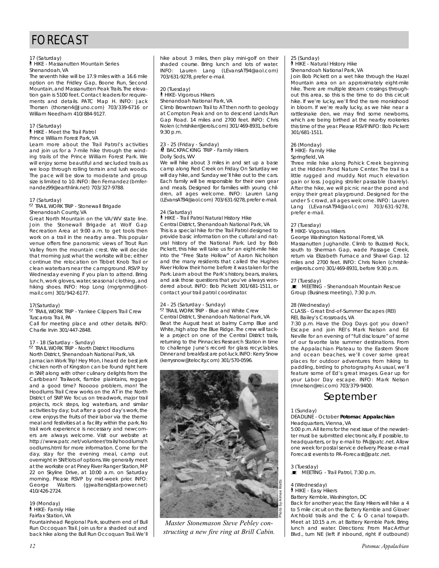# FORECAST

#### 17 (Saturday)

` HIKE - Massanutten Mountain Series Shenandoah, VA

The seventh hike will be 17.9 miles with a 16.6 mile option on the Fridley Gap, Boone Run, Second Mountain, and Massanutten Peak Trails.The elevation gain is 5100 feet. Contact leaders for requirements and details. PATC Map H. INFO: Jack Thorsen (thorsen4@Juno.com) 703/339-6716 or William Needham 410/884-9127.

#### 17 (Saturday)

` HIKE - Meet the Trail Patrol Prince William Forest Park, VA

Learn more about the Trail Patrol's activities and join us for a 7-mile hike through the winding trails of the Prince William Forest Park. We will enjoy some beautiful and secluded trails as we loop through rolling terrain and lush woods. The pace will be slow to moderate and group size is limited to 10. INFO: Ben Fernandez (bmfernandez99@earthlink.net) 703/327-9788.

#### 17 (Saturday)

. Tr. (Satarday)<br><sup>R</sup> TRAIL WORK TRIP - Stonewall Brigade Shenandoah County, VA

Great North Mountain on the VA/WV state line. Join the Stonewall Brigade at Wolf Gap Recreation Area at 9:00 a.m. to get tools then work on a trail in the nearby area. This popular venue offers fine panoramic views of Trout Run Valley from the mountain crest. We will decide that morning just what the worksite will be; either continue the relocation on Tibbet Knob Trail or clean waterbars near the campground. RSVP by Wednesday evening if you plan to attend. Bring lunch, work gloves, water, seasonal clothing, and hiking shoes. INFO: Hop Long (mgrgnmd@hotmail.com) 301/942-6177.

#### 17(Saturday)

...<br><sup>®</sup> TRAIL WORK TRIP - Yankee Clippers Trail Crew Tuscarora Trail, PA

Call for meeting place and other details. INFO: Charlie Irvin 301/447-2848.

#### 17 - 18 (Saturday - Sunday)

. TRAIL WORK TRIP - North District Hoodlums North District, Shenandoah National Park, VA Jamacian Work Trip! Hey Mon, I heard de best jerk chicken north of Kingston can be found right here in SNP, along with other culinary delights from the Caribbean! Trailwork, flambe plaintains, reggae and a good time? Nooooo problem, mon! The Hoodlums Trail Crew works on the AT in the North District of SNP. We focus on treadwork, major trail projects, rock steps, log waterbars, and similar activities by day; but after a good day's work, the crew enjoys the fruits of their labor via the theme meal and festivities at a facility within the park. No trail work experience is necessary and newcomers are always welcome. Visit our website at http://www.patc.net/volunteer/trails/hoodlums/h oodlums.html for more information. Come for the day, stay for the evening meal, camp out overnight in SNP, lots of options.We generally meet at the worksite or at Piney River Ranger Station,MP 22 on Skyline Drive, at 10:00 a.m. on Saturday morning. Please RSVP by mid-week prior. INFO:<br>George Walters (giwalters@starpower.net) Walters (gjwalters@starpower.net) 410/426-2724.

19 (Monday) ` HIKE- Family Hike Fairfax Station, VA

Fountainhead Regional Park, southern end of Bull Run Occoquan Trail. Join us for a shaded out and back hike along the Bull Run Occoquan Trail.We'll hike about 3 miles, then play mini-golf on their shaded course. Bring lunch and lots of water. INFO: Lauren Lang (LEvansAT94@aol.com) 703/631-9278, prefer e-mail.

#### 20 (Tuesday)

**A** HIKE- Vigorous Hikers

Shenandoah National Park, VA Climb Browntown Trail to AT then north to geology at Compton Peak and on to descend Lands Run Gap Road. 14 miles and 2700 feet. INFO: Chris Nolen (chrishiker@erols.com) 301/469-8931, before 9:30 p.m.

#### 23 - 25 (Friday - Sunday) *N* BACKPACKING TRIP - Family Hikers Dolly Sods, WV

We will hike about 3 miles in and set up a base camp along Red Creek on Friday. On Saturday we will day hike, and Sunday we'll hike out to the cars. Each family will be responsible for their own gear and meals. Designed for families with young children, all ages welcome. INFO: Lauren Lang (LEvansAT94@aol.com) 703/631-9278, prefer e-mail.

#### 24 (Saturday)

` HIKE - Trail Patrol Natural History Hike Central District, Shenandoah National Park, VA This is a special hike for the Trail Patrol designed to provide basic information on the cultural and natural history of the National Park. Led by Bob Pickett, this hike will take us for an eight-mile hike into the "Free State Hollow" of Aaron Nicholson and the many residents that called the Hughes River Hollow their home before it was taken for the Park. Learn about the Park's history, bears, snakes, and ask those questions that you've always wondered about. INFO: Bob Pickett 301/681-1511, or contact your trail patrol coordinator.

#### 24 - 25 (Saturday - Sunday)

2. The Containary Formary,<br><sup>2</sup> TRAIL WORK TRIP - Blue and White Crew Central District, Shenandoah National Park, VA Beat the August heat at balmy Camp Blue and White, high atop the Blue Ridge.The crew will tackle a project on one of the Central District trails, returning to the Pinnacles Research Station in time to challenge June's record for glass recyclables. Dinner and breakfast are pot-luck.INFO: Kerry Snow (kerrysnow@telocity.com) 301/570-0596.



*Master Stonemason Steve Pebley constructing a new fire ring at Brill Cabin.*

# 25 (Sunday) ` HIKE - Natural History Hike

Shenandoah National Park, VA

Join Bob Pickett on a wet hike through the Hazel Mountain area on an approximately eight-mile hike. There are multiple stream crossings throughout this area, so this is the time to do this circuit hike. If we're lucky, we'll find the rare monkshood in bloom. If we're really lucky, as we hike near a rattlesnake den, we may find some newborns, which are being birthed at the nearby rookeries this time of the year. Please RSVP. INFO: Bob Pickett 301/681-1511.

#### 26 (Monday)

` HIKE- Family Hike

Springfield, VA

Three mile hike along Pohick Creek beginning at the Hidden Pond Nature Center. The trail is a little rugged and muddy. Not much elevation gain or loss. Jogging stroller passable (barely). After the hike, we will picnic near the pond and enjoy their great playground. Designed for the under 5 crowd, all ages welcome. INFO: Lauren Lang (LEvansAT94@aol.com) 703/631-9278, prefer e-mail.

#### 27 (Tuesday)

` HIKE- Vigorous Hikers

George Washington National Forest, VA Massanutten Jughandle. Climb to Buzzard Rock, south to Sherman Gap, wade Passage Creek,

return via Elizabeth Furnace and Shawl Gap. 12 miles and 2700 feet. INFO: Chris Nolen (chrishiker@erols.com) 301/469-8931, before 9:30 p.m.

27 (Tuesday)<br>■ MEETING - Shenandoah Mountain Rescue Group (Business meeting), 7:30 p.m.

#### 28 (Wednesday)

CLASS - Great End-of-Summer Escapes (REI) REI, Bailey's Crossroads, VA

7:30 p.m. Have the Dog Days got you down? Escape and join REI's Mark Nelson and Ed Neville for an evening of "full disclosure" of some of our favorite late summer destinations. From the Appalachian Plateau to the Eastern Shore and ocean beaches, we'll cover some great places for outdoor adventures from hiking to paddling, birding to photography. As usual, we'll feature some of Ed's great images. Gear up for your Labor Day escape. INFO: Mark Nelson (mnelson@rei.com) 703/379-9400.

# September

1 (Sunday)

#### DEADLINE - October *Potomac Appalachian* Headquarters, Vienna, VA

5:00 p.m.All items for the next issue of the newsletter must be submitted electronically, if possible, to headquarters, or by e-mail to PA@patc.net. Allow one week for postal service delivery. Please e-mail Forecast events to PA-Forecast@patc.net.

#### 3 (Tuesday)

 $\blacksquare$  MEETING - Trail Patrol, 7:30 p.m.

#### 4 (Wednesday)

` HIKE - Easy Hikers

Battery Kemble, Washington, DC

Back for another year, the Easy Hikers will hike a 4 to 5 mile circuit on the Battery Kemble and Glover Archbold trails and the C & O canal townath. Meet at 10:15 a.m. at Battery Kemble Park. Bring lunch and water. Directions: From MacArthur Blvd., turn NE (left if inbound, right if outbound)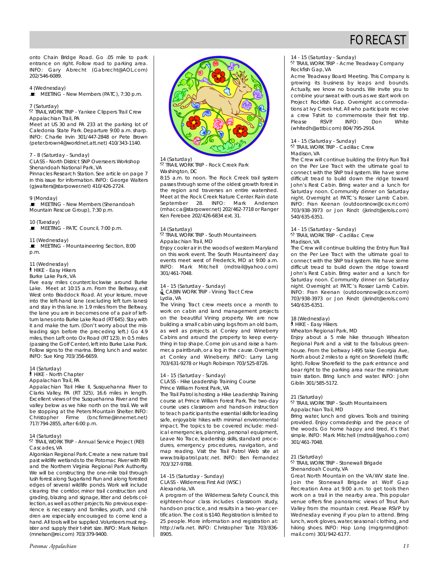

onto Chain Bridge Road. Go .05 mile to park entrance on right. Follow road to parking area. INFO: Gary Abrecht (Gabrecht@AOL.com) 202/546-6089.

4 (Wednesday)

 $\overline{\mathbf{P}}$  MEETING - New Members (PATC), 7:30 p.m.

#### 7 (Saturday)

.<br><sup>R</sup> TRAIL WORK TRIP - Yankee Clippers Trail Crew Appalachian Trail, PA

Meet at US 30 and PA 233 at the parking lot of Caledonia State Park. Departure 9:00 a.m. sharp. INFO: Charlie Irvin 301/447-2848 or Pete Brown (peter.brown4@worldnet.att.net) 410/343-1140.

7 - 8 (Saturday - Sunday)

CLASS - North District SNP Overseers Workshop Shenandoah National Park, VA Pinnacles Research Station. See article on page 7

in this issue for information. INFO: George Walters (gjwalters@starpower.net) 410/426-2724.

9 (Monday)

 $\overline{\mathbf{E}}$  MEETING - New Members (Shenandoah Mountain Rescue Group), 7:30 p.m.

10 (Tuesday)<br>■ MEETING - PATC Council, 7:00 p.m.

11 (Wednesday)

 $\mathbb E$  MEETING - Mountaineering Section, 8:00 p.m.

11 (Wednesday)

` HIKE - Easy Hikers

Burke Lake Park, VA

Five easy miles counterclockwise around Burke Lake. Meet at 10:15 a.m. From the Beltway, exit West onto Braddock Road. At your leisure, move into the left-hand lane (excluding left turn lanes) and stay in this lane. In 1.9 miles from the Beltway, the lane you are in becomes one of a pair of leftturn lanes onto Burke Lake Road (RT 645). Stay with it and make the turn. (Don't worry about the misleading sign before the preceding left.) Go 4.9 miles, then Left onto Ox Road (RT 123). In 0.5 miles (passing the Golf Center), left into Burke Lake Park. Follow signs to the marina. Bring lunch and water. INFO: Sue King 703/356-6659.

#### 14 (Saturday)

` HIKE - North Chapter

Appalachian Trail, PA

Appalachian Trail Hike II, Susquehanna River to Clarks Valley, PA (RT 325), 16.6 miles in length. Excellent views of the Susquehanna River and the valley below as we hike north on the trail. We will be stopping at the Peters Mountain Shelter. INFO: Christopher Firme (bncfirme@innernet.net) 717/794-2855, after 6:00 p.m.

#### 14 (Saturday)

. Treatatary,<br><sup>R</sup> TRAIL WORK TRIP - Annual Service Project (REI) Cascades, VA

Algonkian Regional Park. Create a new nature trail past wildlife wetlands to the Potomac River with REI and the Northern Virginia Regional Park Authority. We will be constructing the one-mile trail through lush forest along Sugarland Run and along forested edges of several wildlife ponds. Work will include clearing the corridor, minor trail construction and grading, blazing and signage, litter and debris collection, as well as other projects. No previous experience is necessary and families, youth, and children are especially encouraged to come lend a hand.All tools will be supplied.Volunteers must register and supply their t-shirt size. INFO: Mark Nelson (mnelson@rei.com) 703/379-9400.



14 (Saturday)

. Traid. ad.<br><sup>2</sup> TRAIL WORK TRIP - Rock Creek Park Washington, DC

8:15 a.m. to noon. The Rock Creek trail system passes through some of the oldest growth forest in the region and traverses an entire watershed. Meet at the Rock Creek Nature Center. Rain date September 28. INFO: Mark Anderson (mhacca@starpower.net) 202/462-7718 or Ranger Ken Ferebee 202/426-6834 ext. 31.

#### 14 (Saturday)

. TRAIL WORK TRIP - South Mountaineers Appalachian Trail, MD

Enjoy cooler air in the woods of western Maryland on this work event. The South Mountaineers' day events meet west of Frederick, MD at 9:00 a.m. INFO: Mark Mitchell (mdtrail@yahoo.com) 301/461-7048.

#### 14 - 15 (Saturday - Sunday)

**L** CABIN WORK TRIP - Vining Tract Crew Lydia, VA

The Vining Tract crew meets once a month to work on cabin and land management projects on the beautiful Vining property. We are now building a small cabin using logs from an old barn, as well as projects at Conley and Wineberry Cabins and around the property to keep everything in top shape. Come join us and raise a hammer, a paintbrush, or a log in the cause. Overnight at Conley and Wineberry. INFO: Larry Lang 703/631-9278 or Hugh Robinson 703/525-8726.

#### 14 - 15 (Saturday - Sunday)

CLASS - Hike Leadership Training Course Prince William Forest Park, VA

The Trail Patrol is hosting a Hike Leadership Training course at Prince William Forest Park. The two-day course uses classroom and hands-on instruction to teach participants the essential skills for leading safe, enjoyable hikes with minimal environmental impact. The topics to be covered include: medical emergencies, planning, personal equipment, Leave No Trace, leadership skills, standard procedures, emergency procedures, navigation, and map reading. Visit the Trail Patrol Web site at www.trailpatrol.patc.net. INFO: Ben Fernandez 703/327-9788.

#### 14 -15 (Saturday - Sunday) CLASS - Wilderness First Aid (WSC)

Alexandria, VA

A program of the Wilderness Safety Council, this eighteen-hour class includes classroom study, hands-on practice, and results in a two-year certification.The cost is \$140. Registration is limited to 25 people. More information and registration at: http://wfa.net. INFO: Christopher Tate 703/836- 8905.

### 14 - 15 (Saturday - Sunday)

. TRAIL WORK TRIP - Acme Treadway Company Rockfish Gap, VA

Acme Treadway Board Meeting. This Company is growing its business by leaps and bounds. Actually, we know no bounds. We invite you to combine your sweat with ours as we start work on Project Rockfish Gap. Overnight accommodations at Ivy Creek Hut. All who participate receive a crew T-shirt to commemorate their first trip.<br>Please RSVP. INFO: Don White Please RSVP. INFO: Don White (whitedh@attbi.com) 804/795-2914

### 14 - 15 (Saturday - Sunday)

... The contact of sandary<br><sup>®</sup> TRAIL WORK TRIP - Cadillac Crew Madison, VA

The Crew will continue building the Entry Run Trail on the Per Lee Tract with the ultimate goal to connect with the SNP trail system. We have some difficult tread to build down the ridge toward John's Rest Cabin. Bring water and a lunch for Saturday noon. Community dinner on Saturday night. Overnight at PATC's Rosser Lamb Cabin. INFO: Fran Keenan (outdoorsnow@cox.rr.com) 703/938-3973 or Jon Rindt (jkrindt@erols.com) 540/635-6351.

14 - 15 (Saturday - Sunday)

... The contact of sandary<br><sup>®</sup> TRAIL WORK TRIP - Cadillac Crew Madison, VA

The Crew will continue building the Entry Run Trail on the Per Lee Tract with the ultimate goal to connect with the SNP trail system. We have some difficult tread to build down the ridge toward John's Rest Cabin. Bring water and a lunch for Saturday noon. Community dinner on Saturday night. Overnight at PATC's Rosser Lamb Cabin. INFO: Fran Keenan (outdoorsnow@cox.rr.com) 703/938-3973 or Jon Rindt (jkrindt@erols.com) 540/635-6351.

18 (Wednesday)

` HIKE - Easy Hikers Wheaton Regional Park, MD

Enjoy about a 5 mile hike thruough Wheaton Regional Park and a visit to the fabulous greenhouse. From the beltway I-495 take Georgia Ave, North about 2 miles to a right on Shorefield (traffic light). Follow Shorefield to the park entrance and bear right to the parking area near the miniature train station. Bring lunch and water. INFO: John Giblin 301/585-5172.

#### 21 (Saturday)

2. Gataraay,<br><sup>®</sup> TRAIL WORK TRIP - South Mountaineers Appalachian Trail, MD

Bring water, lunch and gloves. Tools and training provided. Enjoy comradeship and the peace of the woods. Go home happy and tired, it's that simple. INFO: Mark Mitchell (mdtrail@yahoo.com) 301/461-7048.

#### 21 (Saturday)

21 (Sataraay)<br><sup>R</sup> TRAIL WORK TRIP - Stonewall Brigade Shenandoah County, VA

Great North Mountain on the VA/WV state line. Join the Stonewall Brigade at Wolf Gap Recreation Area at 9:00 a.m. to get tools then work on a trail in the nearby area. This popular venue offers fine panoramic views of Trout Run Valley from the mountain crest. Please RSVP by Wednesday evening if you plan to attend. Bring lunch, work gloves, water, seasonal clothing, and hiking shoes. INFO: Hop Long (mgrgnmd@hotmail.com) 301/942-6177.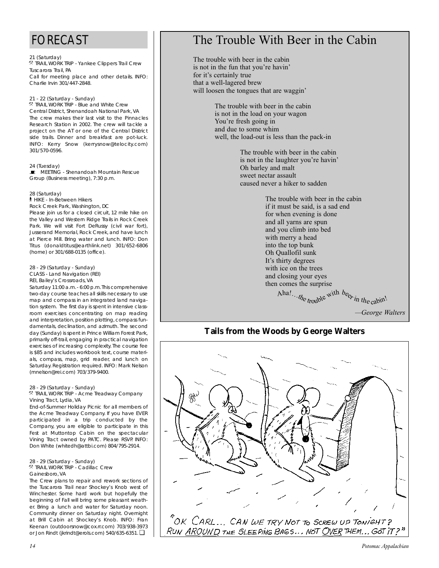# FORECAST

#### 21 (Saturday)

e. (satalday)<br><sup>R</sup> TRAIL WORK TRIP - Yankee Clippers Trail Crew Tuscarora Trail, PA Call for meeting place and other details. INFO: Charlie Irvin 301/447-2848.

#### 21 - 22 (Saturday - Sunday)

2. The locatal acty Tourlacy,<br><sup>2</sup> TRAIL WORK TRIP - Blue and White Crew Central District, Shenandoah National Park, VA The crew makes their last visit to the Pinnacles Research Station in 2002. The crew will tackle a project on the AT or one of the Central District side trails. Dinner and breakfast are pot-luck. INFO: Kerry Snow (kerrysnow@telocity.com) 301/570-0596.

24 (Tuesday) **E** MEETING - Shenandoah Mountain Rescue Group (Business meeting), 7:30 p.m.

#### 28 (Saturday)

` HIKE - In-Between Hikers

Rock Creek Park, Washington, DC Please join us for a closed circuit, 12 mile hike on the Valley and Western Ridge Trails in Rock Creek Park. We will visit Fort DeRussy (civil war fort), Jusserand Memorial, Rock Creek, and have lunch at Pierce Mill. Bring water and lunch. INFO: Don Titus (donaldtitus@earthlink.net) 301/652-6806 (home) or 301/688-0135 (office).

## 28 - 29 (Saturday - Sunday)

CLASS - Land Navigation (REI)

REI, Bailey's Crossroads, VA

Saturday 11:00 a.m.- 6:00 p.m.This comprehensive two-day course teaches all skills necessary to use map and compass in an integrated land navigation system. The first day is spent in intensive classroom exercises concentrating on map reading and interpretation, position plotting, compass fundamentals, declination, and azimuth. The second day (Sunday) is spent in Prince William Forest Park, primarily off-trail, engaging in practical navigation exercises of increasing complexity. The course fee is \$85 and includes workbook text, course materials, compass, map, grid reader, and lunch on Saturday. Registration required. INFO: Mark Nelson (mnelson@rei.com) 703/379-9400.

#### 28 - 29 (Saturday - Sunday)

. TRAIL WORK TRIP - Acme Treadway Company Vining Tract, Lydia, VA

End-of-Summer Holiday Picnic for all members of the Acme Treadway Company. If you have EVER participated in a trip conducted by the Company, you are eligible to participate in this Fest at Muttontop Cabin on the spectacular Vining Tract owned by PATC. Please RSVP. INFO: Don White (whitedh@attbi.com) 804/795-2914.

28 - 29 (Saturday - Sunday) . TRAIL WORK TRIP - Cadillac Crew

#### Gainesboro, VA

The Crew plans to repair and rework sections of the Tuscarora Trail near Shockey's Knob west of Winchester. Some hard work but hopefully the beginning of Fall will bring some pleasant weather. Bring a lunch and water for Saturday noon. Community dinner on Saturday night. Overnight at Brill Cabin at Shockey's Knob. INFO: Fran Keenan (outdoorsnow@cox.rr.com) 703/938-3973 or Jon Rindt (jkrindt@erols.com) 540/635-6351.❏

# The Trouble With Beer in the Cabin

The trouble with beer in the cabin is not in the fun that you're havin' for it's certainly true that a well-lagered brew will loosen the tongues that are waggin'

> The trouble with beer in the cabin is not in the load on your wagon You're fresh going in and due to some whim well, the load-out is less than the pack-in

> > The trouble with beer in the cabin is not in the laughter you're havin' Oh barley and malt sweet nectar assault caused never a hiker to sadden

> > > The trouble with beer in the cabin if it must be said, is a sad end for when evening is done and all yarns are spun and you climb into bed with merry a head into the top bunk Oh Quallofil sunk It's thirty degrees with ice on the trees and closing your eyes then comes the surprise

*—George Walters* Aha!... $t h_{e}$ <sub>troubl</sub>e with  $b_{e}$ <sub>in the cabin</sub>!

# **Tails from the Woods by George Walters**

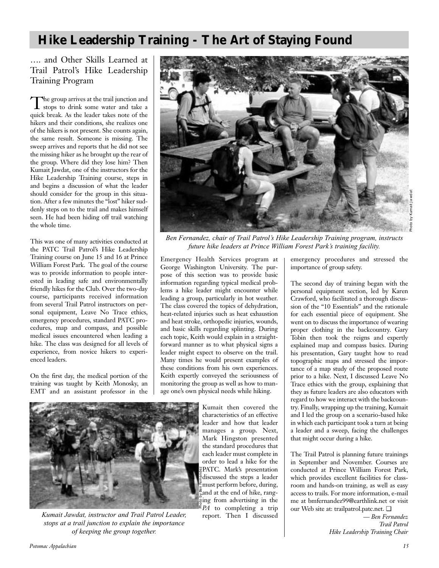# **Hike Leadership Training - The Art of Staying Found**

…. and Other Skills Learned at Trail Patrol's Hike Leadership Training Program

The group arrives at the trail junction and stops to drink some water and take a quick break. As the leader takes note of the hikers and their conditions, she realizes one of the hikers is not present. She counts again, the same result. Someone is missing. The sweep arrives and reports that he did not see the missing hiker as he brought up the rear of the group. Where did they lose him? Then Kumait Jawdat, one of the instructors for the Hike Leadership Training course, steps in and begins a discussion of what the leader should consider for the group in this situation. After a few minutes the "lost" hiker suddenly steps on to the trail and makes himself seen. He had been hiding off trail watching the whole time.

This was one of many activities conducted at the PATC Trail Patrol's Hike Leadership Training course on June 15 and 16 at Prince William Forest Park. The goal of the course was to provide information to people interested in leading safe and environmentally friendly hikes for the Club. Over the two-day course, participants received information from several Trail Patrol instructors on personal equipment, Leave No Trace ethics, emergency procedures, standard PATC procedures, map and compass, and possible medical issues encountered when leading a hike. The class was designed for all levels of experience, from novice hikers to experienced leaders.

On the first day, the medical portion of the training was taught by Keith Monosky, an EMT and an assistant professor in the



*Ben Fernandez, chair of Trail Patrol's Hike Leadership Training program, instructs future hike leaders at Prince William Forest Park's training facility.*

Emergency Health Services program at George Washington University. The purpose of this section was to provide basic information regarding typical medical problems a hike leader might encounter while leading a group, particularly in hot weather. The class covered the topics of dehydration, heat-related injuries such as heat exhaustion and heat stroke, orthopedic injuries, wounds, and basic skills regarding splinting. During each topic, Keith would explain in a straightforward manner as to what physical signs a leader might expect to observe on the trail. Many times he would present examples of these conditions from his own experiences. Keith expertly conveyed the seriousness of monitoring the group as well as how to manage one's own physical needs while hiking.



*Kumait Jawdat, instructor and Trail Patrol Leader, stops at a trail junction to explain the importance of keeping the group together.*

Kumait then covered the characteristics of an effective leader and how that leader manages a group. Next, Mark Hingston presented the standard procedures that each leader must complete in order to lead a hike for the PATC. Mark's presentation discussed the steps a leader must perform before, during, and at the end of hike, ranging from advertising in the *PA* to completing a trip report. Then I discussed

emergency procedures and stressed the importance of group safety.

The second day of training began with the personal equipment section, led by Karen Crawford, who facilitated a thorough discussion of the "10 Essentials" and the rationale for each essential piece of equipment. She went on to discuss the importance of wearing proper clothing in the backcountry. Gary Tobin then took the reigns and expertly explained map and compass basics. During his presentation, Gary taught how to read topographic maps and stressed the importance of a map study of the proposed route prior to a hike. Next, I discussed Leave No Trace ethics with the group, explaining that they as future leaders are also educators with regard to how we interact with the backcountry. Finally, wrapping up the training, Kumait and I led the group on a scenario-based hike in which each participant took a turn at being a leader and a sweep, facing the challenges that might occur during a hike.

The Trail Patrol is planning future trainings in September and November. Courses are conducted at Prince William Forest Park, which provides excellent facilities for classroom and hands-on training, as well as easy access to trails. For more information, e-mail me at bmfernandez99@earthlink.net or visit our Web site at: trailpatrol.patc.net. ❏

*— Ben Fernandez Trail Patrol Hike Leadership Training Chair*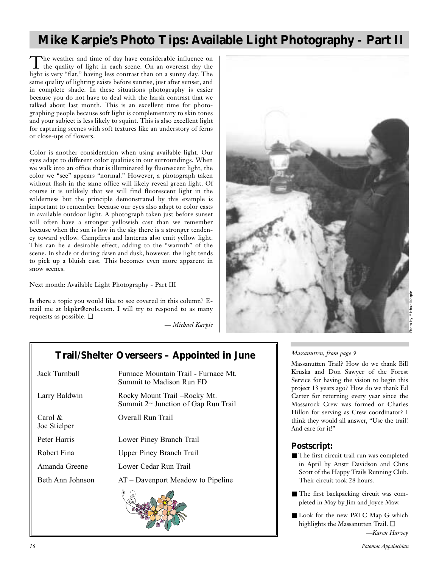# **Mike Karpie's Photo Tips: Available Light Photography - Part II**

The weather and time of day have considerable influence on<br>the quality of light in each scene. On an overcast day the light is very "flat," having less contrast than on a sunny day. The same quality of lighting exists before sunrise, just after sunset, and in complete shade. In these situations photography is easier because you do not have to deal with the harsh contrast that we talked about last month. This is an excellent time for photographing people because soft light is complementary to skin tones and your subject is less likely to squint. This is also excellent light for capturing scenes with soft textures like an understory of ferns or close-ups of flowers.

Color is another consideration when using available light. Our eyes adapt to different color qualities in our surroundings. When we walk into an office that is illuminated by fluorescent light, the color we "see" appears "normal." However, a photograph taken without flash in the same office will likely reveal green light. Of course it is unlikely that we will find fluorescent light in the wilderness but the principle demonstrated by this example is important to remember because our eyes also adapt to color casts in available outdoor light. A photograph taken just before sunset will often have a stronger yellowish cast than we remember because when the sun is low in the sky there is a stronger tendency toward yellow. Campfires and lanterns also emit yellow light. This can be a desirable effect, adding to the "warmth" of the scene. In shade or during dawn and dusk, however, the light tends to pick up a bluish cast. This becomes even more apparent in snow scenes.

Next month: Available Light Photography - Part III

Is there a topic you would like to see covered in this column? Email me at bkpkr@erols.com. I will try to respond to as many requests as possible. ❏

*— Michael Karpie*



# **Trail/Shelter Overseers – Appointed in June**

| Jack Turnbull              | Furnace Mountain Trail - Furnace Mt.<br>Summit to Madison Run FD                  |
|----------------------------|-----------------------------------------------------------------------------------|
| Larry Baldwin              | Rocky Mount Trail – Rocky Mt.<br>Summit 2 <sup>nd</sup> Junction of Gap Run Trail |
| Carol $\&$<br>Joe Stielper | Overall Run Trail                                                                 |
| Peter Harris               | Lower Piney Branch Trail                                                          |
| Robert Fina                | <b>Upper Piney Branch Trail</b>                                                   |
| Amanda Greene              | Lower Cedar Run Trail                                                             |
| Beth Ann Johnson           | $AT$ – Davenport Meadow to Pipeline                                               |
|                            |                                                                                   |

### *Massanutten, from page 9*

Massanutten Trail? How do we thank Bill Kruska and Don Sawyer of the Forest Service for having the vision to begin this project 13 years ago? How do we thank Ed Carter for returning every year since the Massarock Crew was formed or Charles Hillon for serving as Crew coordinator? I think they would all answer, "Use the trail! And care for it!"

### **Postscript:**

- The first circuit trail run was completed in April by Anstr Davidson and Chris Scott of the Happy Trails Running Club. Their circuit took 28 hours.
- The first backpacking circuit was completed in May by Jim and Joyce Maw.
- Look for the new PATC Map G which highlights the Massanutten Trail. ❏ *—Karen Harvey*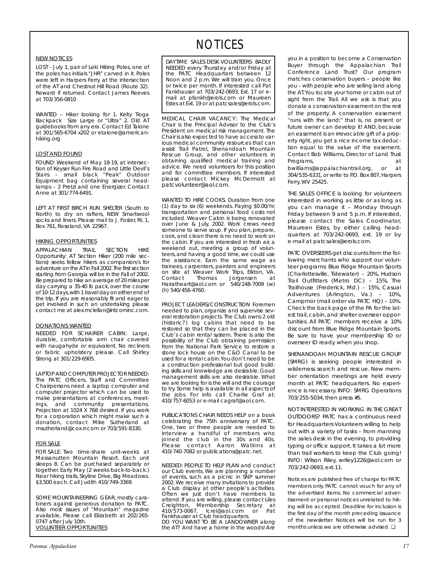#### NEW NOTICES

LOST - July 1, pair of Leki Hiking Poles, one of the poles has initials "JHR" carved in it. Poles were left in Harpers Ferry at the intersection of the AT and Chestnut Hill Road (Route 32). Reward if returned. Contact James Reeves at 703/356-0810

WANTED – Hiker looking for 1. Kelty Tioga Backpack Size Large or "Ultra" 2. Old AT guidebooks from any era. Contact Ed Talone at 301/565-6704 x202 or etalone@americanhiking.org

#### LOST AND FOUND

FOUND: Weekend of May 18-19, at intersection of Keyser Run Fire Road and Little Devil's Stairs – small black "Peak" Outdoor Equipment bag containing several headlamps – 2 Pretzl and one Energizer. Contact Anne at 301/774-6491.

LEFT AT FIRST BIRCH RUN SHELTER (South to North) to dry on rafters, NEW Smartwool socks and liners. Please mail to J. Foster, Rt. 1, Box 761, Roseland, VA 22967.

#### HIKING OPPORTUNITIES

APPALACHIAN TRAIL SECTION HIKE Opportunity: AT Section Hiker (200 mile sections) seeks fellow hikers as companion/s for adventure on the AT in Fall 2002.The first section starting from Georgia will be in the Fall of 2002. Be prepared to hike an average of 20 miles per day carrying a 35-40 lb pack, over the course of 10-12 days,with 1 travel day on either end of the trip. If you are reasonably fit and eager to get involved in such an undertaking please contact me at alex.mclellan@intcominc.com.

#### DONATIONS WANTED

NEEDED FOR SCHAIRER CABIN: Large, durable, comfortable arm chair covered with naugahyde or equivalent. No recliners or fabric upholstery please. Call Shirley Strong at 301/229-6905.

LAPTOP AND COMPUTER PROJECTOR NEEDED: The PATC Officers, Staff and Committee Chairpersons need a laptop computer and computer projector which can be used to make presentations at conferences, meetings, and community presentations. Projection at 1024 X 768 desired. If you work for a corporation which might make such a donation, contact Mike Sutherland at msutherland@cox.rr.com or 703/591-8330.

#### FOR SALE

FOR SALE: Two time-share unit-weeks at Massanutten Mountain Resort. Each unit sleeps 8. Can be purchased separately or together. Early May (2 weeks back-to-back.) Near hiking trails, Skyline Drive, Big Meadows. \$3,500 each. Call Judith 410/749-3369.

SOME MOUNTAINEERING GEAR, mostly carabiners against generous donation to PATC. Also most issues of "Mountain" magazine available, Please call Elizabeth at 202/265- 0747 after July 10th. VOLUNTEER OPPORTUNITIES

# **NOTICES**

DAYTIME SALES DESK VOLUNTEERS BADLY NEEDED every Thursday and/or Friday at the PATC Headquarters between 12 Noon and 2 p.m. We will train you. Once or twice per month. If interested call Pat Fankhauser at 703/242-0693, Ext. 17 or email at pfankh@erols.com or Maureen Estes at Ext. 19 or at patcsales@erols.com.

MEDICAL CHAIR VACANCY: The Medical Chair is the Principal Advisor to the Club's President on medical risk management. The Chair is also expected to have access to various medical community resources that can assist Trail Patrol, Shenandoah Mountain Rescue Group, and other volunteers in obtaining qualified medical training and advice. We need volunteers for this position and for committee members. If interested please contact Mickey McDermott at patcvolunteer@aol.com.

WANTED TO HIRE COOKS. Duration from one (1) day to six (6) weekends. Paying \$0.00/hr, transportation and personal food costs not included. Weaver Cabin is being renovated over June & July, 2002. Work crews need someone to serve soup. If you plan, prepare, cook, and clean there is no need to work on the cabin. If you are interested in fresh air, a weekend out, meeting a group of volunteers, and having a good time, we could use the assistance. Earn the same wage as trainees, carpenters, painters and engineers on site at Weaver Work Trips, Elkton, VA.<br>Contact Thomas Jorgensen at Contact Thomas Jorgensen at Hairatheart@aol.com or 540/248-7009 (w) (h) 540/456-4760.

PROJECT LEADERS/CONSTRUCTION Foremen needed to plan, organize and supervise several restoration projects. The Club owns 2 old (historic?) log cabins that need to be restored so that they can be placed in the Club's cabin rental system. There is also the possibility of the Club obtaining permission from the National Park Service to restore a stone lock house on the C&O Canal to be used for a rental cabin.You don't need to be a construction professional but good building skills and knowledge are desirable. Good management skills are also desirable. What we are looking for is the will and the courage to try. Some help is available in all aspects of the jobs. For info call Charlie Graf at: 410/757-6053 or e-mail cagraf@aol.com.

PUBLICATIONS CHAIR NEEDS HELP on a book celebrating the 75th anniversary of PATC. One, two or three people are needed to interview a handful of members who joined the club in the 30s and 40s. Please contact Aaron Watkins at 410/740-7082 or publications@patc.net.

NEEDED: PEOPLE TO HELP PLAN and conduct our Club events. We are planning a number of events, such as a picnic in SNP summer 2002. We receive many invitations to provide a Club display at other people's activities. Often we just don't have members to attend. If you are willing, please contact Liles Creighton, Membership Secretary at<br>410/573-0067, Icrei@aol.com or Pat 410/573-0067, Icrei@aol.com or Fankhauser at Club headquarters. DO YOU WANT TO BE A LANDOWNER along the AT? And have a home in the woods! Are

you in a position to become a Conservation Buyer through the Appalachian Trail Conference Land Trust? Our program matches conservation buyers – people like you – with people who are selling land along the AT.You locate your home or cabin out of sight from the Trail. All we ask is that you donate a conservation easement on the rest of the property. A conservation easement "runs with the land;" that is, no present or future owner can develop it! AND, because an easement is an irrevocable gift of a property right, you get a nice income tax deduction equal to the value of the easement. Contact Bob Williams, Director of Land Trust Programs, at a control of the state of the state at a state of the state at a state of the state at a state of the state at a state of the state at a state of the state at a state of the state at a state of the state at a bwilliams@appalachiantrail.org, or at 304/535-6331, or write to P.O. Box 807, Harpers Ferry, WV 25425.

THE SALES OFFICE is looking for volunteers interested in working as little or as long as you can manage it – Monday through Friday between 9 and 5 p.m. If interested, please contact the Sales Coordinator, Maureen Estes, by either calling headquarters at 703/242-0693, ext. 19 or by e-mail at patcsales@erols.com.

PATC OVERSEERS get discounts from the following merchants who support our volunteer programs: Blue Ridge Mountain Sports (Charlottesville, Tidewater) – 20%, Hudson Trail Outfitters (Metro DC) – 15%, The Trailhouse (Frederick, Md.) – 15%, Casual Adventures (Arlington, Va.) – 10%, Campmor (mail order via PATC HQ) – 10%. Check the back page of the *PA* for the latest trail, cabin, and shelter overseer opportunities. All PATC members receive a 10% discount from Blue Ridge Mountain Sports. Be sure to have your membership ID or overseer ID ready when you shop.

SHENANDOAH MOUNTAIN RESCUE GROUP (SMRG) is seeking people interested in wilderness search and rescue. New member orientation meetings are held every month at PATC headquarters. No experience is necessary. INFO: SMRG Operations 703/255-5034, then press #5.

NOT INTERESTED IN WORKING IN THE GREAT OUTDOORS? PATC has a continuous need for Headquarters Volunteers willing to help out with a variety of tasks – from manning the sales desk in the evening, to providing typing or office support. It takes a lot more than trail workers to keep the Club going! INFO: Wilson Riley, wriley1226@aol.com or 703/242-0693, ext.11.

*Notices are published free of charge for PATC members only. PATC cannot vouch for any of the advertised items. No commercial advertisement or personal notices unrelated to hiking will be accepted. Deadline for inclusion is the first day of the month preceding issuance of the newsletter. Notices will be run for 3 months unless we are otherwise advised.* ❏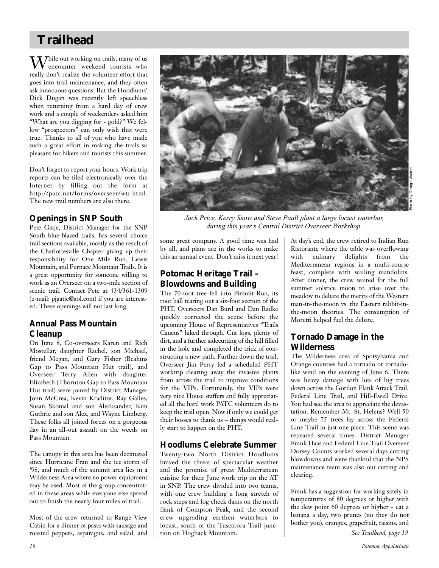# **Trailhead**

 $\mathrm{M}$ hile out working on trails, many of us encounter weekend tourists who really don't realize the volunteer effort that goes into trail maintenance, and they often ask innocuous questions. But the Hoodlums' Dick Dugan was recently left speechless when returning from a hard day of crew work and a couple of weekenders asked him "What are you digging for - gold?" We fellow "prospectors" can only wish that were true. Thanks to all of you who have made such a great effort in making the trails so pleasant for hikers and tourists this summer.

Don't forget to report your hours. Work trip reports can be filed electronically over the Internet by filling out the form at http://patc.net/forms/overseer/wtr.html. The new trail numbers are also there.

## **Openings in SNP South**

Pete Gatje, District Manager for the SNP South blue-blazed trails, has several choice trail sections available, mostly as the result of the Charlottesville Chapter giving up their responsibility for One Mile Run, Lewis Mountain, and Furnace Mountain Trails. It is a great opportunity for someone willing to work as an Overseer on a two-mile section of scenic trail. Contact Pete at 434/361-1309 (e-mail: pjgatje@aol.com) if you are interested. These openings will not last long.

## **Annual Pass Mountain Cleanup**

On June 8, Co-overseers Karen and Rich Mostellar, daughter Rachel, son Michael, friend Megan, and Gary Fisher (Beahms Gap to Pass Mountain Hut trail), and Overseer Terry Allen with daughter Elizabeth (Thornton Gap to Pass Mountain Hut trail) were joined by District Manager John McCrea, Kevin Kraditor, Ray Galles, Susan Skomal and son Alecksander, Kim Guthrie and son Alex, and Wayne Limberg. These folks all joined forces on a gorgeous day in an all-out assault on the weeds on Pass Mountain.

The canopy in this area has been decimated since Hurricane Fran and the ice storm of '98, and much of the summit area lies in a Wilderness Area where no power equipment may be used. Most of the group concentrated in these areas while everyone else spread out to finish the nearly four miles of trail.

Most of the crew returned to Range View Cabin for a dinner of pasta with sausage and roasted peppers, asparagus, and salad, and



*Jack Price, Kerry Snow and Steve Paull plant a large locust waterbar, during this year's Central District Overseer Workshop.*

some great company. A good time was had by all, and plans are in the works to make this an annual event. Don't miss it next year!

## **Potomac Heritage Trail – Blowdowns and Building**

The 70-foot tree fell into Pimmit Run, its root ball tearing out a six-foot section of the PHT. Overseers Dan Burd and Dan Radke quickly corrected the scene before the upcoming House of Representatives "Trails Caucus" hiked through. Cut logs, plenty of dirt, and a further sidecutting of the hill filled in the hole and completed the trick of constructing a new path. Further down the trail, Overseer Jim Perry led a scheduled PHT worktrip clearing away the invasive plants from across the trail to improve conditions for the VIPs. Fortunately, the VIPs were very nice House staffers and fully appreciated all the hard work PATC volunteers do to keep the trail open. Now if only we could get their bosses to thank us – things would really start to happen on the PHT.

### **Hoodlums Celebrate Summer**

Twenty-two North District Hoodlums braved the threat of spectacular weather and the promise of great Mediterranean cuisine for their June work trip on the AT in SNP. The crew divided into two teams, with one crew building a long stretch of rock steps and log check dams on the north flank of Compton Peak, and the second crew upgrading earthen waterbars to locust, south of the Tuscarora Trail junction on Hogback Mountain.

At day's end, the crew retired to Indian Run Ristorante where the table was overflowing with culinary delights from the Mediterranean regions in a multi-course feast, complete with wailing mandolins. After dinner, the crew waited for the full summer solstice moon to arise over the meadow to debate the merits of the Western man-in-the-moon vs. the Eastern rabbit-inthe-moon theories. The consumption of Moretti helped fuel the debate.

# **Tornado Damage in the Wilderness**

The Wilderness area of Spotsylvania and Orange counties had a tornado or tornadolike wind on the evening of June 6. There was heavy damage with lots of big trees down across the Gordon Flank Attack Trail, Federal Line Trail, and Hill-Ewell Drive. You had see the area to appreciate the devastation. Remember Mt. St. Helens? Well 50 or maybe 75 trees lay across the Federal Line Trail in just one place. This scene was repeated several times. District Manager Frank Haas and Federal Line Trail Overseer Dorsey Counts worked several days cutting blowdowns and were thankful that the NPS maintenance team was also out cutting and clearing.

Frank has a suggestion for working safely in temperatures of 80 degrees or higher with the dew point 60 degrees or higher - eat a banana a day, two prunes (no they do not bother you), oranges, grapefruit, raisins, and *See Trailhead, page 19*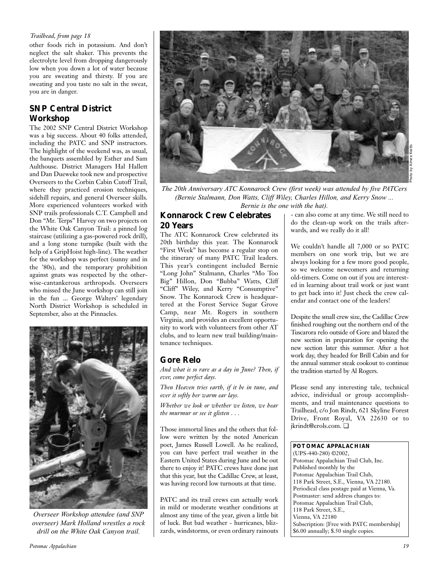### *Trailhead, from page 18*

other foods rich in potassium. And don't neglect the salt shaker. This prevents the electrolyte level from dropping dangerously low when you down a lot of water because you are sweating and thirsty. If you are sweating and you taste no salt in the sweat, you are in danger.

## **SNP Central District Workshop**

The 2002 SNP Central District Workshop was a big success. About 40 folks attended, including the PATC and SNP instructors. The highlight of the weekend was, as usual, the banquets assembled by Esther and Sam Aulthouse. District Managers Hal Hallett and Dan Dueweke took new and prospective Overseers to the Corbin Cabin Cutoff Trail, where they practiced erosion techniques, sidehill repairs, and general Overseer skills. More experienced volunteers worked with SNP trails professionals C.T. Campbell and Don "Mr. Terps" Harvey on two projects on the White Oak Canyon Trail: a pinned log staircase (utilizing a gas-powered rock drill), and a long stone turnpike (built with the help of a GripHoist high-line). The weather for the workshop was perfect (sunny and in the '80s), and the temporary prohibition against gnats was respected by the otherwise-cantankerous arthropods. Overseers who missed the June workshop can still join in the fun ... George Walters' legendary North District Workshop is scheduled in September, also at the Pinnacles.



*Overseer Workshop attendee (and SNP overseer) Mark Holland wrestles a rock drill on the White Oak Canyon trail.*



*The 20th Anniversary ATC Konnarock Crew (first week) was attended by five PATCers (Bernie Stalmann, Don Watts, Cliff Wiley, Charles Hillon, and Kerry Snow ... Bernie is the one with the hat).*

## **Konnarock Crew Celebrates 20 Years**

The ATC Konnarock Crew celebrated its 20th birthday this year. The Konnarock "First Week" has become a regular stop on the itinerary of many PATC Trail leaders. This year's contingent included Bernie "Long John" Stalmann, Charles "Mo Too Big" Hillon, Don "Bubba" Watts, Cliff "Cliff" Wiley, and Kerry "Consumptive" Snow. The Konnarock Crew is headquartered at the Forest Service Sugar Grove Camp, near Mt. Rogers in southern Virginia, and provides an excellent opportunity to work with volunteers from other AT clubs, and to learn new trail building/maintenance techniques.

## **Gore Relo**

*And what is so rare as a day in June? Then, if ever, come perfect days.* 

*Then Heaven tries earth, if it be in tune, and over it softly her warm ear lays.*

*Whether we look or whether we listen, we hear the murmur or see it glisten . . .*

Those immortal lines and the others that follow were written by the noted American poet, James Russell Lowell. As he realized, you can have perfect trail weather in the Eastern United States during June and be out there to enjoy it! PATC crews have done just that this year, but the Cadillac Crew, at least, was having record low turnouts at that time.

PATC and its trail crews can actually work in mild or moderate weather conditions at almost any time of the year, given a little bit of luck. But bad weather - hurricanes, blizzards, windstorms, or even ordinary rainouts

- can also come at any time. We still need to do the clean-up work on the trails afterwards, and we really do it all!

We couldn't handle all 7,000 or so PATC members on one work trip, but we are always looking for a few more good people, so we welcome newcomers and returning old-timers. Come on out if you are interested in learning about trail work or just want to get back into it! Just check the crew calendar and contact one of the leaders!

Despite the small crew size, the Cadillac Crew finished roughing out the northern end of the Tuscarora relo outside of Gore and blazed the new section in preparation for opening the new section later this summer. After a hot work day, they headed for Brill Cabin and for the annual summer steak cookout to continue the tradition started by Al Rogers.

Please send any interesting tale, technical advice, individual or group accomplishments, and trail maintenance questions to Trailhead, c/o Jon Rindt, 621 Skyline Forest Drive, Front Royal, VA 22630 or to jkrindt@erols.com. ❏

### **POTOMAC APPALACHIAN**

(UPS-440-280) ©2002, Potomac Appalachian Trail Club, Inc. Published monthly by the Potomac Appalachian Trail Club, 118 Park Street, S.E., Vienna, VA 22180. Periodical class postage paid at Vienna, Va. Postmaster: send address changes to: Potomac Appalachian Trail Club, 118 Park Street, S.E., Vienna, VA 22180 Subscription: [Free with PATC membership] \$6.00 annually; \$.50 single copies.